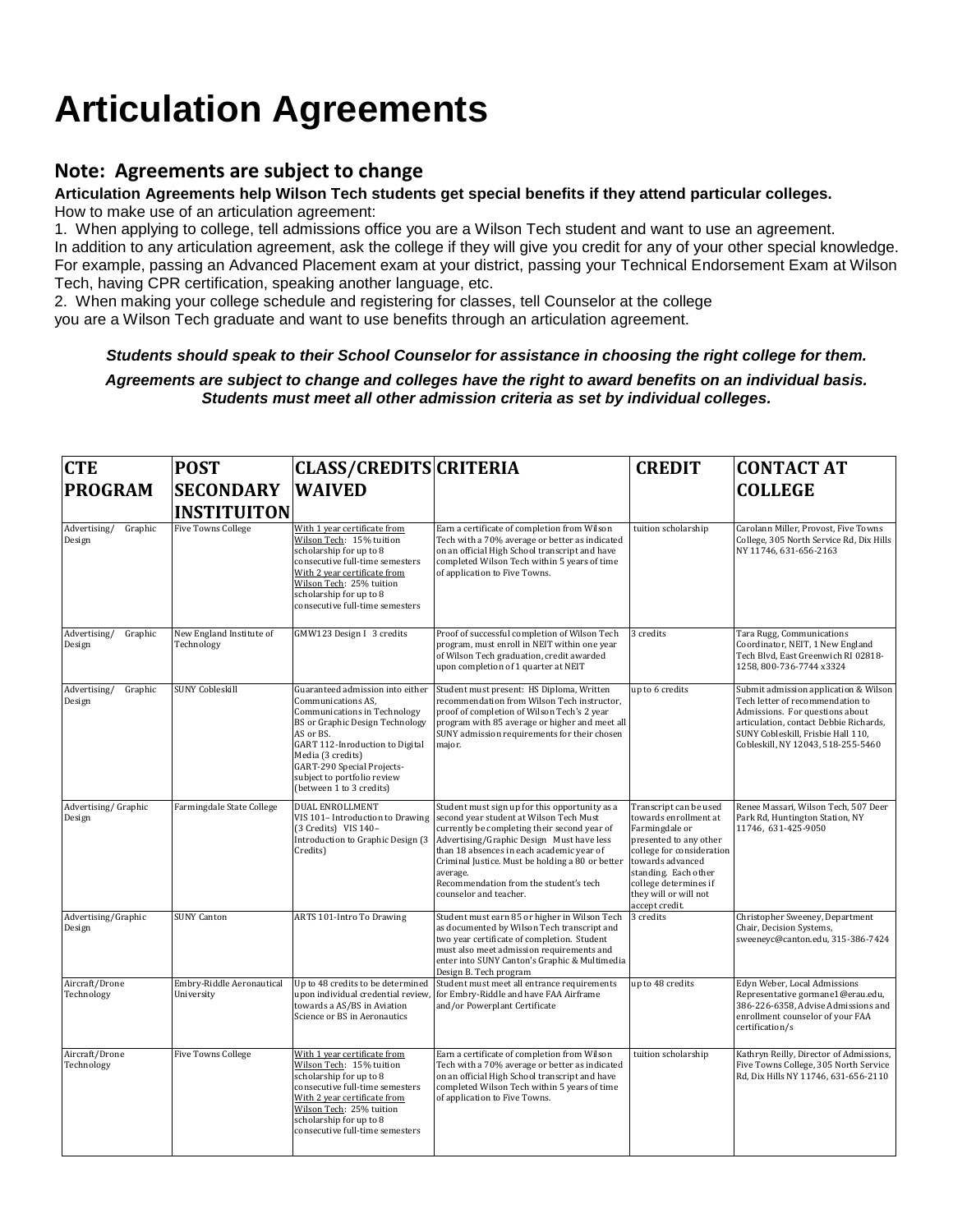## **Articulation Agreements**

## **Note: Agreements are subject to change**

## **Articulation Agreements help Wilson Tech students get special benefits if they attend particular colleges.**

How to make use of an articulation agreement:

1. When applying to college, tell admissions office you are a Wilson Tech student and want to use an agreement. In addition to any articulation agreement, ask the college if they will give you credit for any of your other special knowledge. For example, passing an Advanced Placement exam at your district, passing your Technical Endorsement Exam at Wilson Tech, having CPR certification, speaking another language, etc.

2. When making your college schedule and registering for classes, tell Counselor at the college you are a Wilson Tech graduate and want to use benefits through an articulation agreement.

## *Students should speak to their School Counselor for assistance in choosing the right college for them.*

*Agreements are subject to change and colleges have the right to award benefits on an individual basis. Students must meet all other admission criteria as set by individual colleges.*

| <b>CTE</b>                        | <b>POST</b>                             | CLASS/CREDITS CRITERIA                                                                                                                                                                                                                                                                         |                                                                                                                                                                                                                                                                                                                                                                         | <b>CREDIT</b>                                                                                                                                                                                                                            | <b>CONTACT AT</b>                                                                                                                                                                                                                  |
|-----------------------------------|-----------------------------------------|------------------------------------------------------------------------------------------------------------------------------------------------------------------------------------------------------------------------------------------------------------------------------------------------|-------------------------------------------------------------------------------------------------------------------------------------------------------------------------------------------------------------------------------------------------------------------------------------------------------------------------------------------------------------------------|------------------------------------------------------------------------------------------------------------------------------------------------------------------------------------------------------------------------------------------|------------------------------------------------------------------------------------------------------------------------------------------------------------------------------------------------------------------------------------|
| <b>PROGRAM</b>                    | <b>SECONDARY</b>                        | <b>WAIVED</b>                                                                                                                                                                                                                                                                                  |                                                                                                                                                                                                                                                                                                                                                                         |                                                                                                                                                                                                                                          | <b>COLLEGE</b>                                                                                                                                                                                                                     |
|                                   | <b>INSTITUITON</b>                      |                                                                                                                                                                                                                                                                                                |                                                                                                                                                                                                                                                                                                                                                                         |                                                                                                                                                                                                                                          |                                                                                                                                                                                                                                    |
| Advertising/<br>Graphic<br>Design | <b>Five Towns College</b>               | With 1 year certificate from<br>Wilson Tech: 15% tuition<br>scholarship for up to 8<br>consecutive full-time semesters<br>With 2 year certificate from<br>Wilson Tech: 25% tuition<br>scholarship for up to 8<br>consecutive full-time semesters                                               | Earn a certificate of completion from Wilson<br>Tech with a 70% average or better as indicated<br>on an official High School transcript and have<br>completed Wilson Tech within 5 years of time<br>of application to Five Towns.                                                                                                                                       | tuition scholarship                                                                                                                                                                                                                      | Carolann Miller, Provost, Five Towns<br>College, 305 North Service Rd, Dix Hills<br>NY 11746, 631-656-2163                                                                                                                         |
| Advertising/<br>Graphic<br>Design | New England Institute of<br>Technology  | GMW123 Design I 3 credits                                                                                                                                                                                                                                                                      | Proof of successful completion of Wilson Tech<br>program, must enroll in NEIT within one year<br>of Wilson Tech graduation, credit awarded<br>upon completion of 1 quarter at NEIT                                                                                                                                                                                      | 3 credits                                                                                                                                                                                                                                | Tara Rugg, Communications<br>Coordinator, NEIT, 1 New England<br>Tech Blvd, East Greenwich RI 02818-<br>1258, 800-736-7744 x3324                                                                                                   |
| Advertising/<br>Graphic<br>Design | <b>SUNY Cobleskill</b>                  | Guaranteed admission into either<br>Communications AS,<br>Communications in Technology<br><b>BS</b> or Graphic Design Technology<br>AS or BS.<br>GART 112-Inroduction to Digital<br>Media (3 credits)<br>GART-290 Special Projects-<br>subject to portfolio review<br>(between 1 to 3 credits) | Student must present: HS Diploma, Written<br>recommendation from Wilson Tech instructor,<br>proof of completion of Wilson Tech's 2 year<br>program with 85 average or higher and meet all<br>SUNY admission requirements for their chosen<br>major.                                                                                                                     | up to 6 credits                                                                                                                                                                                                                          | Submit admission application & Wilson<br>Tech letter of recommendation to<br>Admissions. For questions about<br>articulation, contact Debbie Richards,<br>SUNY Cobleskill, Frisbie Hall 110,<br>Cobleskill, NY 12043, 518-255-5460 |
| Advertising/Graphic<br>Design     | Farmingdale State College               | <b>DUAL ENROLLMENT</b><br>VIS 101- Introduction to Drawing<br>(3 Credits) VIS 140-<br>Introduction to Graphic Design (3<br>Credits)                                                                                                                                                            | Student must sign up for this opportunity as a<br>second year student at Wilson Tech Must<br>currently be completing their second year of<br>Advertising/Graphic Design Must have less<br>than 18 absences in each academic year of<br>Criminal Justice. Must be holding a 80 or better<br>average.<br>Recommendation from the student's tech<br>counselor and teacher. | Transcript can be used<br>towards enrollment at<br>Farmingdale or<br>presented to any other<br>college for consideration<br>towards advanced<br>standing. Each other<br>college determines if<br>they will or will not<br>accept credit. | Renee Massari, Wilson Tech, 507 Deer<br>Park Rd, Huntington Station, NY<br>11746, 631-425-9050                                                                                                                                     |
| Advertising/Graphic<br>Design     | <b>SUNY Canton</b>                      | ARTS 101-Intro To Drawing                                                                                                                                                                                                                                                                      | Student must earn 85 or higher in Wilson Tech<br>as documented by Wilson Tech transcript and<br>two year certificate of completion. Student<br>must also meet admission requirements and<br>enter into SUNY Canton's Graphic & Multimedia<br>Design B. Tech program                                                                                                     | 3 credits                                                                                                                                                                                                                                | Christopher Sweeney, Department<br>Chair, Decision Systems,<br>sweeneyc@canton.edu, 315-386-7424                                                                                                                                   |
| Aircraft/Drone<br>Technology      | Embry-Riddle Aeronautical<br>University | Up to 48 credits to be determined<br>upon individual credential review,<br>towards a AS/BS in Aviation<br>Science or BS in Aeronautics                                                                                                                                                         | Student must meet all entrance requirements<br>for Embry-Riddle and have FAA Airframe<br>and/or Powerplant Certificate                                                                                                                                                                                                                                                  | up to 48 credits                                                                                                                                                                                                                         | Edyn Weber, Local Admissions<br>Representative gormane1@erau.edu,<br>386-226-6358, Advise Admissions and<br>enrollment counselor of your FAA<br>certification/s                                                                    |
| Aircraft/Drone<br>Technology      | <b>Five Towns College</b>               | With 1 year certificate from<br>Wilson Tech: 15% tuition<br>scholarship for up to 8<br>consecutive full-time semesters<br>With 2 year certificate from<br>Wilson Tech: 25% tuition<br>scholarship for up to 8<br>consecutive full-time semesters                                               | Earn a certificate of completion from Wilson<br>Tech with a 70% average or better as indicated<br>on an official High School transcript and have<br>completed Wilson Tech within 5 years of time<br>of application to Five Towns.                                                                                                                                       | tuition scholarship                                                                                                                                                                                                                      | Kathryn Reilly, Director of Admissions,<br>Five Towns College, 305 North Service<br>Rd, Dix Hills NY 11746, 631-656-2110                                                                                                           |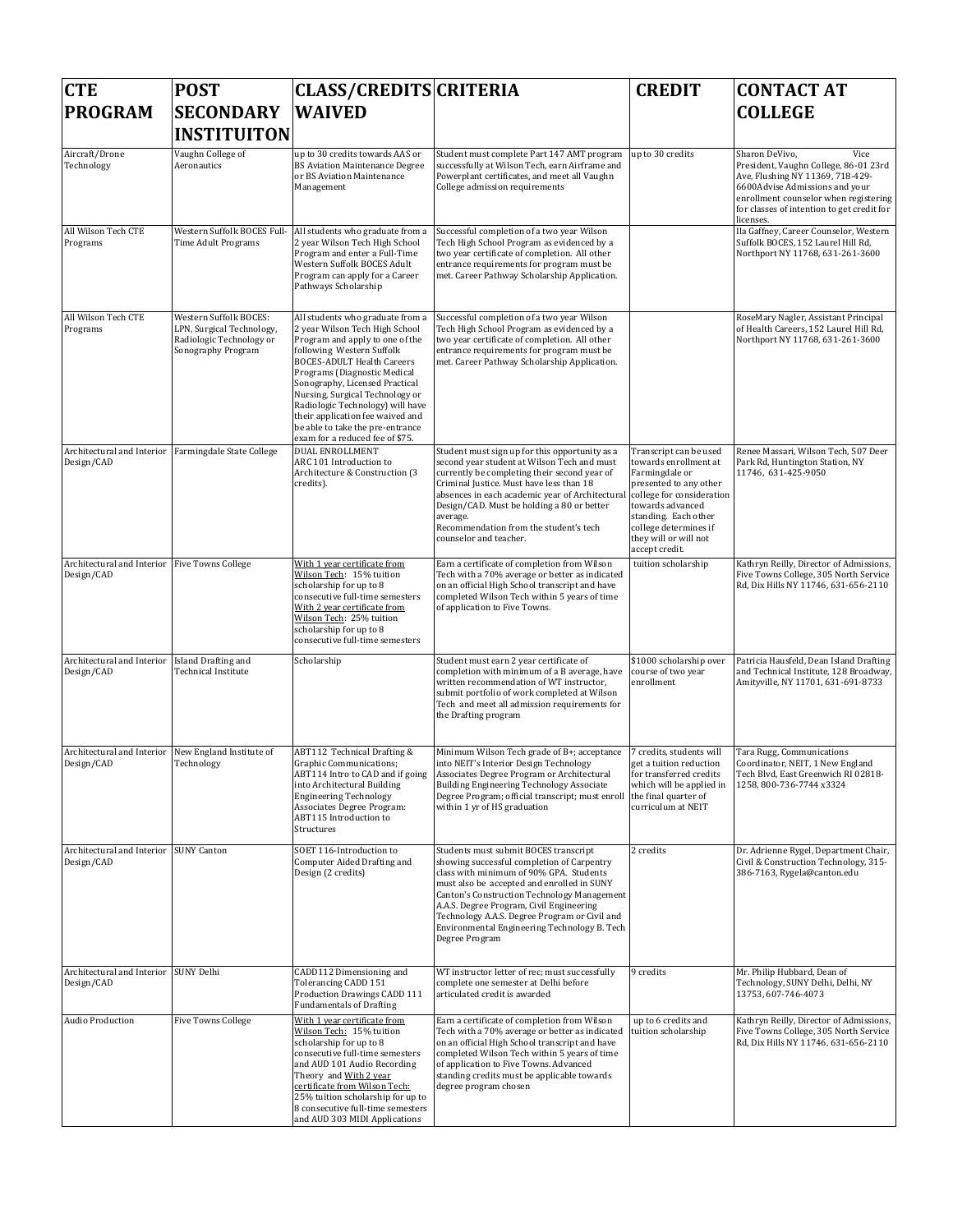| <b>CTE</b>                                                  | <b>POST</b>                                                                                           | <b>CLASS/CREDITS CRITERIA</b>                                                                                                                                                                                                                                                                                                                                                                                               |                                                                                                                                                                                                                                                                                                                                                                                            | <b>CREDIT</b>                                                                                                                                                                                                                            | <b>CONTACT AT</b>                                                                                                                                                                                                                         |
|-------------------------------------------------------------|-------------------------------------------------------------------------------------------------------|-----------------------------------------------------------------------------------------------------------------------------------------------------------------------------------------------------------------------------------------------------------------------------------------------------------------------------------------------------------------------------------------------------------------------------|--------------------------------------------------------------------------------------------------------------------------------------------------------------------------------------------------------------------------------------------------------------------------------------------------------------------------------------------------------------------------------------------|------------------------------------------------------------------------------------------------------------------------------------------------------------------------------------------------------------------------------------------|-------------------------------------------------------------------------------------------------------------------------------------------------------------------------------------------------------------------------------------------|
| <b>PROGRAM</b>                                              | <b>SECONDARY</b><br><b>INSTITUITON</b>                                                                | <b>WAIVED</b>                                                                                                                                                                                                                                                                                                                                                                                                               |                                                                                                                                                                                                                                                                                                                                                                                            |                                                                                                                                                                                                                                          | <b>COLLEGE</b>                                                                                                                                                                                                                            |
| Aircraft/Drone<br>Technology                                | Vaughn College of<br>Aeronautics                                                                      | up to 30 credits towards AAS or<br><b>BS Aviation Maintenance Degree</b><br>or BS Aviation Maintenance<br>Management                                                                                                                                                                                                                                                                                                        | Student must complete Part 147 AMT program<br>successfully at Wilson Tech, earn Airframe and<br>Powerplant certificates, and meet all Vaughn<br>College admission requirements                                                                                                                                                                                                             | up to 30 credits                                                                                                                                                                                                                         | Vice<br>Sharon DeVivo,<br>President, Vaughn College, 86-01 23rd<br>Ave, Flushing NY 11369, 718-429-<br>6600Advise Admissions and your<br>enrollment counselor when registering<br>for classes of intention to get credit for<br>licenses. |
| All Wilson Tech CTE<br>Programs                             | Western Suffolk BOCES Full-<br>Time Adult Programs                                                    | All students who graduate from a<br>2 year Wilson Tech High School<br>Program and enter a Full-Time<br>Western Suffolk BOCES Adult<br>Program can apply for a Career<br>Pathways Scholarship                                                                                                                                                                                                                                | Successful completion of a two year Wilson<br>Tech High School Program as evidenced by a<br>two year certificate of completion. All other<br>entrance requirements for program must be<br>met. Career Pathway Scholarship Application.                                                                                                                                                     |                                                                                                                                                                                                                                          | Ila Gaffney, Career Counselor, Western<br>Suffolk BOCES, 152 Laurel Hill Rd,<br>Northport NY 11768, 631-261-3600                                                                                                                          |
| All Wilson Tech CTE<br>Programs                             | Western Suffolk BOCES:<br>LPN, Surgical Technology,<br>Radiologic Technology or<br>Sonography Program | All students who graduate from a<br>2 year Wilson Tech High School<br>Program and apply to one of the<br>following Western Suffolk<br><b>BOCES-ADULT Health Careers</b><br>Programs (Diagnostic Medical<br>Sonography, Licensed Practical<br>Nursing, Surgical Technology or<br>Radiologic Technology) will have<br>their application fee waived and<br>be able to take the pre-entrance<br>exam for a reduced fee of \$75. | Successful completion of a two year Wilson<br>Tech High School Program as evidenced by a<br>two year certificate of completion. All other<br>entrance requirements for program must be<br>met. Career Pathway Scholarship Application.                                                                                                                                                     |                                                                                                                                                                                                                                          | RoseMary Nagler, Assistant Principal<br>of Health Careers, 152 Laurel Hill Rd,<br>Northport NY 11768, 631-261-3600                                                                                                                        |
| Architectural and Interior<br>Design/CAD                    | Farmingdale State College                                                                             | <b>DUAL ENROLLMENT</b><br>ARC 101 Introduction to<br>Architecture & Construction (3<br>credits).                                                                                                                                                                                                                                                                                                                            | Student must sign up for this opportunity as a<br>second year student at Wilson Tech and must<br>currently be completing their second year of<br>Criminal Justice. Must have less than 18<br>absences in each academic year of Architectura<br>Design/CAD. Must be holding a 80 or better<br>average.<br>Recommendation from the student's tech<br>counselor and teacher.                  | Transcript can be used<br>towards enrollment at<br>Farmingdale or<br>presented to any other<br>college for consideration<br>towards advanced<br>standing. Each other<br>college determines if<br>they will or will not<br>accept credit. | Renee Massari, Wilson Tech, 507 Deer<br>Park Rd, Huntington Station, NY<br>11746, 631-425-9050                                                                                                                                            |
| Architectural and Interior Five Towns College<br>Design/CAD |                                                                                                       | With 1 year certificate from<br>Wilson Tech: 15% tuition<br>scholarship for up to 8<br>consecutive full-time semesters<br>With 2 year certificate from<br>Wilson Tech: 25% tuition<br>scholarship for up to 8<br>consecutive full-time semesters                                                                                                                                                                            | Earn a certificate of completion from Wilson<br>Tech with a 70% average or better as indicated<br>on an official High School transcript and have<br>completed Wilson Tech within 5 years of time<br>of application to Five Towns.                                                                                                                                                          | tuition scholarship                                                                                                                                                                                                                      | Kathryn Reilly, Director of Admissions,<br>Five Towns College, 305 North Service<br>Rd, Dix Hills NY 11746, 631-656-2110                                                                                                                  |
| Architectural and Interior<br>Design/CAD                    | Island Drafting and<br>Technical Institute                                                            | Scholarship                                                                                                                                                                                                                                                                                                                                                                                                                 | Student must earn 2 year certificate of<br>completion with minimum of a B average, have<br>written recommendation of WT instructor,<br>submit portfolio of work completed at Wilson<br>Tech and meet all admission requirements for<br>the Drafting program                                                                                                                                | \$1000 scholarship over<br>course of two year<br>enrollment                                                                                                                                                                              | Patricia Hausfeld, Dean Island Drafting<br>and Technical Institute, 128 Broadway,<br>Amityville, NY 11701, 631-691-8733                                                                                                                   |
| Architectural and Interior<br>Design/CAD                    | New England Institute of<br>Technology                                                                | ABT112 Technical Drafting &<br>Graphic Communications;<br>ABT114 Intro to CAD and if going<br>into Architectural Building<br><b>Engineering Technology</b><br>Associates Degree Program:<br>ABT115 Introduction to<br>Structures                                                                                                                                                                                            | Minimum Wilson Tech grade of B+; acceptance<br>into NEIT's Interior Design Technology<br>Associates Degree Program or Architectural<br>Building Engineering Technology Associate<br>Degree Program; official transcript; must enroll the final quarter of<br>within 1 yr of HS graduation                                                                                                  | 7 credits, students will<br>get a tuition reduction<br>for transferred credits<br>which will be applied in<br>curriculum at NEIT                                                                                                         | Tara Rugg, Communications<br>Coordinator, NEIT, 1 New England<br>Tech Blvd, East Greenwich RI 02818-<br>1258, 800-736-7744 x3324                                                                                                          |
| Architectural and Interior SUNY Canton<br>Design/CAD        |                                                                                                       | SOET 116-Introduction to<br>Computer Aided Drafting and<br>Design (2 credits)                                                                                                                                                                                                                                                                                                                                               | Students must submit BOCES transcript<br>showing successful completion of Carpentry<br>class with minimum of 90% GPA. Students<br>must also be accepted and enrolled in SUNY<br>Canton's Construction Technology Management<br>A.A.S. Degree Program, Civil Engineering<br>Technology A.A.S. Degree Program or Civil and<br>Environmental Engineering Technology B. Tech<br>Degree Program | 2 credits                                                                                                                                                                                                                                | Dr. Adrienne Rygel, Department Chair,<br>Civil & Construction Technology, 315-<br>386-7163, Rygela@canton.edu                                                                                                                             |
| Architectural and Interior SUNY Delhi<br>Design/CAD         |                                                                                                       | CADD112 Dimensioning and<br>Tolerancing CADD 151<br>Production Drawings CADD 111<br><b>Fundamentals of Drafting</b>                                                                                                                                                                                                                                                                                                         | WT instructor letter of rec; must successfully<br>complete one semester at Delhi before<br>articulated credit is awarded                                                                                                                                                                                                                                                                   | 9 credits                                                                                                                                                                                                                                | Mr. Philip Hubbard, Dean of<br>Technology, SUNY Delhi, Delhi, NY<br>13753, 607-746-4073                                                                                                                                                   |
| Audio Production                                            | <b>Five Towns College</b>                                                                             | With 1 year certificate from<br>Wilson Tech: 15% tuition<br>scholarship for up to 8<br>consecutive full-time semesters<br>and AUD 101 Audio Recording<br>Theory and With 2 year<br>certificate from Wilson Tech:<br>25% tuition scholarship for up to<br>8 consecutive full-time semesters<br>and AUD 303 MIDI Applications                                                                                                 | Earn a certificate of completion from Wilson<br>Tech with a 70% average or better as indicated<br>on an official High School transcript and have<br>completed Wilson Tech within 5 years of time<br>of application to Five Towns. Advanced<br>standing credits must be applicable towards<br>degree program chosen                                                                         | up to 6 credits and<br>tuition scholarship                                                                                                                                                                                               | Kathryn Reilly, Director of Admissions,<br>Five Towns College, 305 North Service<br>Rd, Dix Hills NY 11746, 631-656-2110                                                                                                                  |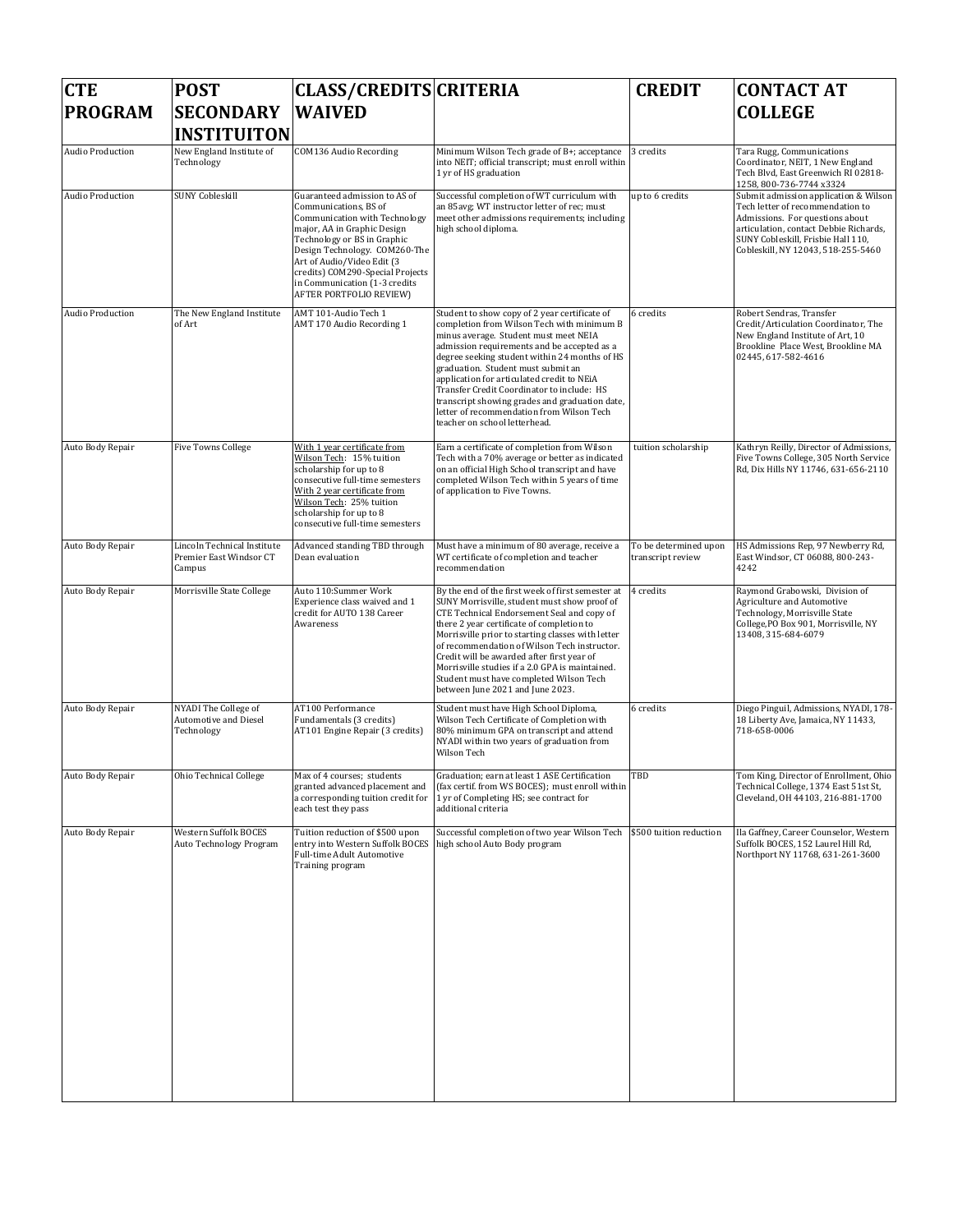| <b>CTE</b>       | <b>POST</b>                                                      | <b>CLASS/CREDITS CRITERIA</b>                                                                                                                                                                                                                                                                                        |                                                                                                                                                                                                                                                                                                                                                                                                                                                                                                        | <b>CREDIT</b>                              | <b>CONTACT AT</b>                                                                                                                                                                                                                  |
|------------------|------------------------------------------------------------------|----------------------------------------------------------------------------------------------------------------------------------------------------------------------------------------------------------------------------------------------------------------------------------------------------------------------|--------------------------------------------------------------------------------------------------------------------------------------------------------------------------------------------------------------------------------------------------------------------------------------------------------------------------------------------------------------------------------------------------------------------------------------------------------------------------------------------------------|--------------------------------------------|------------------------------------------------------------------------------------------------------------------------------------------------------------------------------------------------------------------------------------|
| <b>PROGRAM</b>   | <b>SECONDARY</b><br><b>INSTITUITON</b>                           | <b>WAIVED</b>                                                                                                                                                                                                                                                                                                        |                                                                                                                                                                                                                                                                                                                                                                                                                                                                                                        |                                            | <b>COLLEGE</b>                                                                                                                                                                                                                     |
| Audio Production | New England Institute of<br>Technology                           | COM136 Audio Recording                                                                                                                                                                                                                                                                                               | Minimum Wilson Tech grade of B+; acceptance<br>into NEIT; official transcript; must enroll within<br>1 yr of HS graduation                                                                                                                                                                                                                                                                                                                                                                             | 3 credits                                  | Tara Rugg, Communications<br>Coordinator, NEIT, 1 New England<br>Tech Blvd, East Greenwich RI 02818-<br>1258, 800-736-7744 x3324                                                                                                   |
| Audio Production | <b>SUNY Cobleskill</b>                                           | Guaranteed admission to AS of<br>Communications, BS of<br>Communication with Technology<br>major, AA in Graphic Design<br>Technology or BS in Graphic<br>Design Technology. COM260-The<br>Art of Audio/Video Edit (3<br>credits) COM290-Special Projects<br>in Communication (1-3 credits<br>AFTER PORTFOLIO REVIEW) | Successful completion of WT curriculum with<br>an 85avg; WT instructor letter of rec; must<br>meet other admissions requirements; including<br>high school diploma.                                                                                                                                                                                                                                                                                                                                    | up to 6 credits                            | Submit admission application & Wilson<br>Tech letter of recommendation to<br>Admissions. For questions about<br>articulation, contact Debbie Richards,<br>SUNY Cobleskill, Frisbie Hall 110,<br>Cobleskill, NY 12043, 518-255-5460 |
| Audio Production | The New England Institute<br>of Art                              | AMT 101-Audio Tech 1<br>AMT 170 Audio Recording 1                                                                                                                                                                                                                                                                    | Student to show copy of 2 year certificate of<br>completion from Wilson Tech with minimum B<br>minus average. Student must meet NEIA<br>admission requirements and be accepted as a<br>degree seeking student within 24 months of HS<br>graduation. Student must submit an<br>application for articulated credit to NEiA<br>Transfer Credit Coordinator to include: HS<br>transcript showing grades and graduation date,<br>letter of recommendation from Wilson Tech<br>teacher on school letterhead. | 6 credits                                  | Robert Sendras, Transfer<br>Credit/Articulation Coordinator, The<br>New England Institute of Art, 10<br>Brookline Place West, Brookline MA<br>02445, 617-582-4616                                                                  |
| Auto Body Repair | <b>Five Towns College</b>                                        | With 1 year certificate from<br>Wilson Tech: 15% tuition<br>scholarship for up to 8<br>consecutive full-time semesters<br>With 2 year certificate from<br>Wilson Tech: 25% tuition<br>scholarship for up to 8<br>consecutive full-time semesters                                                                     | Earn a certificate of completion from Wilson<br>Tech with a 70% average or better as indicated<br>on an official High School transcript and have<br>completed Wilson Tech within 5 years of time<br>of application to Five Towns.                                                                                                                                                                                                                                                                      | tuition scholarship                        | Kathryn Reilly, Director of Admissions,<br>Five Towns College, 305 North Service<br>Rd, Dix Hills NY 11746, 631-656-2110                                                                                                           |
| Auto Body Repair | Lincoln Technical Institute<br>Premier East Windsor CT<br>Campus | Advanced standing TBD through<br>Dean evaluation                                                                                                                                                                                                                                                                     | Must have a minimum of 80 average, receive a<br>WT certificate of completion and teacher<br>recommendation                                                                                                                                                                                                                                                                                                                                                                                             | To be determined upon<br>transcript review | HS Admissions Rep, 97 Newberry Rd,<br>East Windsor, CT 06088, 800-243-<br>4242                                                                                                                                                     |
| Auto Body Repair | Morrisville State College                                        | Auto 110:Summer Work<br>Experience class waived and 1<br>credit for AUTO 138 Career<br>Awareness                                                                                                                                                                                                                     | By the end of the first week of first semester at<br>SUNY Morrisville, student must show proof of<br>CTE Technical Endorsement Seal and copy of<br>there 2 year certificate of completion to<br>Morrisville prior to starting classes with letter<br>of recommendation of Wilson Tech instructor.<br>Credit will be awarded after first year of<br>Morrisville studies if a 2.0 GPA is maintained.<br>Student must have completed Wilson Tech<br>between June 2021 and June 2023.                      | 4 credits                                  | Raymond Grabowski, Division of<br>Agriculture and Automotive<br>Technology, Morrisville State<br>College, PO Box 901, Morrisville, NY<br>13408, 315-684-6079                                                                       |
| Auto Body Repair | NYADI The College of<br>Automotive and Diesel<br>Technology      | AT100 Performance<br>Fundamentals (3 credits)<br>AT101 Engine Repair (3 credits)                                                                                                                                                                                                                                     | Student must have High School Diploma,<br>Wilson Tech Certificate of Completion with<br>80% minimum GPA on transcript and attend<br>NYADI within two years of graduation from<br>Wilson Tech                                                                                                                                                                                                                                                                                                           | 6 credits                                  | Diego Pinguil, Admissions, NYADI, 178-<br>18 Liberty Ave, Jamaica, NY 11433,<br>718-658-0006                                                                                                                                       |
| Auto Body Repair | Ohio Technical College                                           | Max of 4 courses; students<br>granted advanced placement and<br>a corresponding tuition credit for<br>each test they pass                                                                                                                                                                                            | Graduation; earn at least 1 ASE Certification<br>(fax certif. from WS BOCES); must enroll within<br>1 yr of Completing HS; see contract for<br>additional criteria                                                                                                                                                                                                                                                                                                                                     | TBD                                        | Fom King, Director of Enrollment, Ohio<br>Technical College, 1374 East 51st St,<br>Cleveland, OH 44103, 216-881-1700                                                                                                               |
| Auto Body Repair | Western Suffolk BOCES<br>Auto Technology Program                 | Tuition reduction of \$500 upon<br>entry into Western Suffolk BOCES<br>Full-time Adult Automotive<br>Training program                                                                                                                                                                                                | Successful completion of two year Wilson Tech<br>high school Auto Body program                                                                                                                                                                                                                                                                                                                                                                                                                         | \$500 tuition reduction                    | Ila Gaffney, Career Counselor, Western<br>Suffolk BOCES, 152 Laurel Hill Rd,<br>Northport NY 11768, 631-261-3600                                                                                                                   |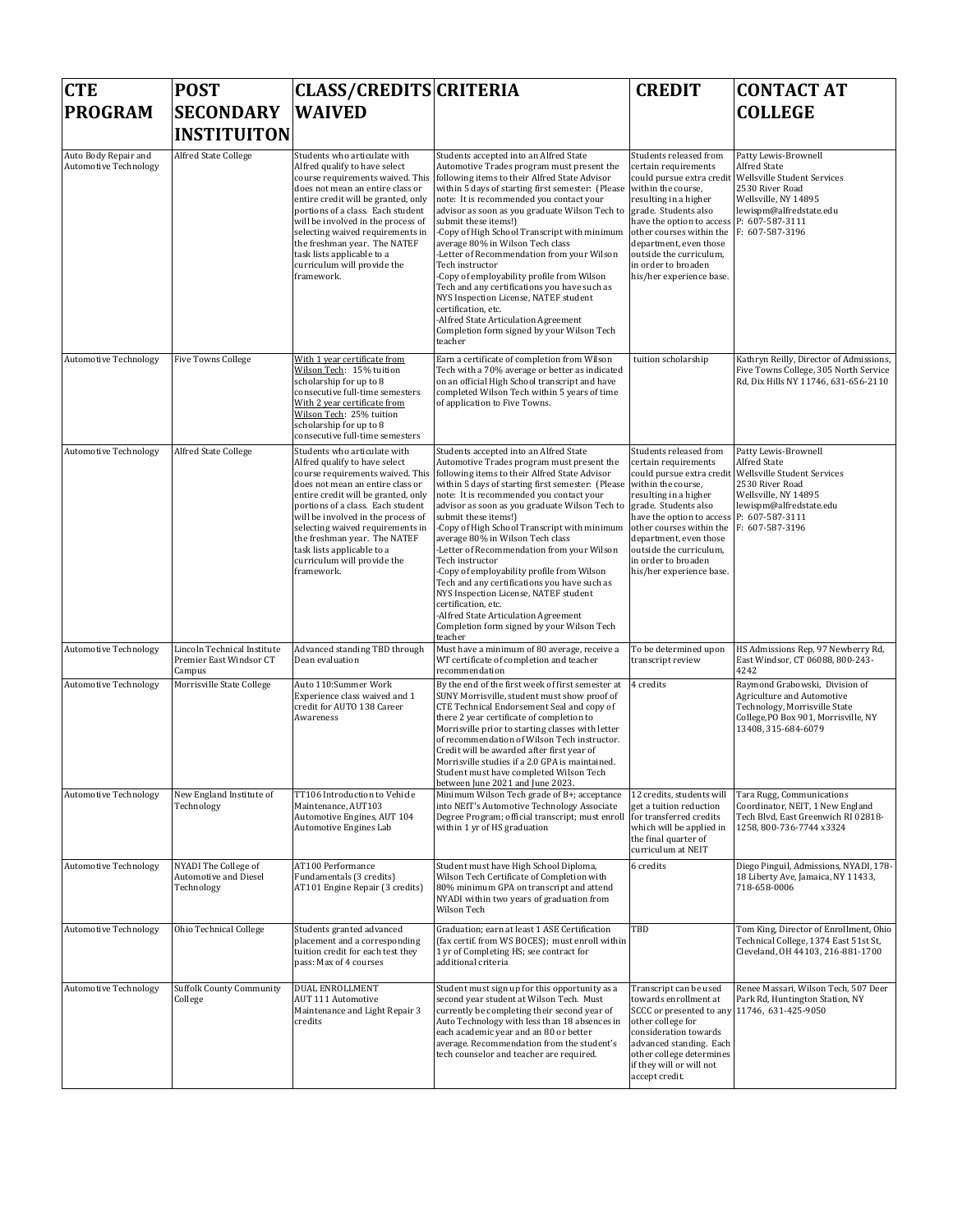| <b>CTE</b>                                           | <b>POST</b>                                                      | <b>CLASS/CREDITS CRITERIA</b>                                                                                                                                                                                                                                                                                                                                                                          |                                                                                                                                                                                                                                                                                                                                                                                                                                                                                                                                                                                                                                                                                                                                                                                    | <b>CREDIT</b>                                                                                                                                                                                                                                                                                 | <b>CONTACT AT</b>                                                                                                                                                                      |
|------------------------------------------------------|------------------------------------------------------------------|--------------------------------------------------------------------------------------------------------------------------------------------------------------------------------------------------------------------------------------------------------------------------------------------------------------------------------------------------------------------------------------------------------|------------------------------------------------------------------------------------------------------------------------------------------------------------------------------------------------------------------------------------------------------------------------------------------------------------------------------------------------------------------------------------------------------------------------------------------------------------------------------------------------------------------------------------------------------------------------------------------------------------------------------------------------------------------------------------------------------------------------------------------------------------------------------------|-----------------------------------------------------------------------------------------------------------------------------------------------------------------------------------------------------------------------------------------------------------------------------------------------|----------------------------------------------------------------------------------------------------------------------------------------------------------------------------------------|
| <b>PROGRAM</b>                                       | <b>SECONDARY</b>                                                 | <b>WAIVED</b>                                                                                                                                                                                                                                                                                                                                                                                          |                                                                                                                                                                                                                                                                                                                                                                                                                                                                                                                                                                                                                                                                                                                                                                                    |                                                                                                                                                                                                                                                                                               | <b>COLLEGE</b>                                                                                                                                                                         |
|                                                      | <b>INSTITUITON</b>                                               |                                                                                                                                                                                                                                                                                                                                                                                                        |                                                                                                                                                                                                                                                                                                                                                                                                                                                                                                                                                                                                                                                                                                                                                                                    |                                                                                                                                                                                                                                                                                               |                                                                                                                                                                                        |
| Auto Body Repair and<br><b>Automotive Technology</b> | Alfred State College                                             | Students who articulate with<br>Alfred qualify to have select<br>course requirements waived. This<br>does not mean an entire class or<br>entire credit will be granted, only<br>portions of a class. Each student<br>will be involved in the process of<br>selecting waived requirements in<br>the freshman year. The NATEF<br>task lists applicable to a<br>curriculum will provide the<br>framework. | Students accepted into an Alfred State<br>Automotive Trades program must present the<br>following items to their Alfred State Advisor<br>within 5 days of starting first semester: (Please within the course,<br>note: It is recommended you contact your<br>advisor as soon as you graduate Wilson Tech to<br>submit these items!)<br>-Copy of High School Transcript with minimum<br>average 80% in Wilson Tech class<br>-Letter of Recommendation from your Wilson<br>Tech instructor<br>-Copy of employability profile from Wilson<br>Tech and any certifications you have such as<br>NYS Inspection License, NATEF student<br>certification, etc.<br>-Alfred State Articulation Agreement<br>Completion form signed by your Wilson Tech<br>teacher                            | Students released from<br>certain requirements<br>could pursue extra credit<br>resulting in a higher<br>grade. Students also<br>have the option to access<br>other courses within the<br>department, even those<br>outside the curriculum,<br>in order to broaden<br>his/her experience base. | Patty Lewis-Brownell<br><b>Alfred State</b><br>Wellsville Student Services<br>2530 River Road<br>Wellsville, NY 14895<br>lewispm@alfredstate.edu<br>P: 607-587-3111<br>F: 607-587-3196 |
| Automotive Technology                                | <b>Five Towns College</b>                                        | With 1 year certificate from<br>Wilson Tech:   15% tuition<br>scholarship for up to 8<br>consecutive full-time semesters<br>With 2 year certificate from<br>Wilson Tech: 25% tuition<br>scholarship for up to 8<br>consecutive full-time semesters                                                                                                                                                     | Earn a certificate of completion from Wilson<br>Tech with a 70% average or better as indicated<br>on an official High School transcript and have<br>completed Wilson Tech within 5 years of time<br>of application to Five Towns.                                                                                                                                                                                                                                                                                                                                                                                                                                                                                                                                                  | tuition scholarship                                                                                                                                                                                                                                                                           | Kathryn Reilly, Director of Admissions,<br>Five Towns College, 305 North Service<br>Rd, Dix Hills NY 11746, 631-656-2110                                                               |
| <b>Automotive Technology</b>                         | Alfred State College                                             | Students who articulate with<br>Alfred qualify to have select<br>course requirements waived. This<br>does not mean an entire class or<br>entire credit will be granted, only<br>portions of a class. Each student<br>will be involved in the process of<br>selecting waived requirements in<br>the freshman year. The NATEF<br>task lists applicable to a<br>curriculum will provide the<br>framework. | Students accepted into an Alfred State<br>Automotive Trades program must present the<br>following items to their Alfred State Advisor<br>within 5 days of starting first semester: (Please<br>note: It is recommended you contact your<br>advisor as soon as you graduate Wilson Tech to grade. Students also<br>submit these items!)<br>-Copy of High School Transcript with minimum other courses within the<br>average 80% in Wilson Tech class<br>-Letter of Recommendation from your Wilson<br>Tech instructor<br>-Copy of employability profile from Wilson<br>Tech and any certifications you have such as<br>NYS Inspection License, NATEF student<br>certification, etc.<br>-Alfred State Articulation Agreement<br>Completion form signed by your Wilson Tech<br>teacher | Students released from<br>certain requirements<br>could pursue extra credit<br>within the course,<br>resulting in a higher<br>have the option to access<br>department, even those<br>outside the curriculum,<br>in order to broaden<br>his/her experience base.                               | Patty Lewis-Brownell<br>Alfred State<br>Wellsville Student Services<br>2530 River Road<br>Wellsville, NY 14895<br>lewispm@alfredstate.edu<br>P: 607-587-3111<br>F: 607-587-3196        |
| <b>Automotive Technology</b>                         | Lincoln Technical Institute<br>Premier East Windsor CT<br>Campus | Advanced standing TBD through<br>Dean evaluation                                                                                                                                                                                                                                                                                                                                                       | Must have a minimum of 80 average, receive a<br>WT certificate of completion and teacher<br>recommendation                                                                                                                                                                                                                                                                                                                                                                                                                                                                                                                                                                                                                                                                         | To be determined upon<br>transcript review                                                                                                                                                                                                                                                    | HS Admissions Rep, 97 Newberry Rd,<br>East Windsor, CT 06088, 800-243-<br>4242                                                                                                         |
| <b>Automotive Technology</b>                         | Morrisville State College                                        | Auto 110:Summer Work<br>Experience class waived and 1<br>credit for AUTO 138 Career<br>Awareness                                                                                                                                                                                                                                                                                                       | By the end of the first week of first semester at<br>SUNY Morrisville, student must show proof of<br>CTE Technical Endorsement Seal and copy of<br>there 2 year certificate of completion to<br>Morrisville prior to starting classes with letter<br>of recommendation of Wilson Tech instructor.<br>Credit will be awarded after first year of<br>Morrisville studies if a 2.0 GPA is maintained.<br>Student must have completed Wilson Tech<br>between June 2021 and June 2023.                                                                                                                                                                                                                                                                                                  | 4 credits                                                                                                                                                                                                                                                                                     | Raymond Grabowski, Division of<br>Agriculture and Automotive<br>Technology, Morrisville State<br>College, PO Box 901, Morrisville, NY<br>13408, 315-684-6079                           |
| <b>Automotive Technology</b>                         | New England Institute of<br>Technology                           | TT106 Introduction to Vehicle<br>Maintenance, AUT103<br>Automotive Engines, AUT 104<br>Automotive Engines Lab                                                                                                                                                                                                                                                                                          | Minimum Wilson Tech grade of B+; acceptance<br>into NEIT's Automotive Technology Associate<br>Degree Program; official transcript; must enroll for transferred credits<br>within 1 yr of HS graduation                                                                                                                                                                                                                                                                                                                                                                                                                                                                                                                                                                             | 12 credits, students will<br>get a tuition reduction<br>which will be applied in<br>the final quarter of<br>curriculum at NEIT                                                                                                                                                                | Tara Rugg, Communications<br>Coordinator, NEIT, 1 New England<br>Tech Blvd, East Greenwich RI 02818-<br>1258, 800-736-7744 x3324                                                       |
| <b>Automotive Technology</b>                         | NYADI The College of<br>Automotive and Diesel<br>Technology      | AT100 Performance<br>Fundamentals (3 credits)<br>AT101 Engine Repair (3 credits)                                                                                                                                                                                                                                                                                                                       | Student must have High School Diploma,<br>Wilson Tech Certificate of Completion with<br>80% minimum GPA on transcript and attend<br>NYADI within two years of graduation from<br>Wilson Tech                                                                                                                                                                                                                                                                                                                                                                                                                                                                                                                                                                                       | 6 credits                                                                                                                                                                                                                                                                                     | Diego Pinguil, Admissions, NYADI, 178-<br>18 Liberty Ave, Jamaica, NY 11433,<br>718-658-0006                                                                                           |
| <b>Automotive Technology</b>                         | Ohio Technical College                                           | Students granted advanced<br>placement and a corresponding<br>tuition credit for each test they<br>pass: Max of 4 courses                                                                                                                                                                                                                                                                              | Graduation; earn at least 1 ASE Certification<br>(fax certif. from WS BOCES); must enroll within<br>1 yr of Completing HS; see contract for<br>additional criteria                                                                                                                                                                                                                                                                                                                                                                                                                                                                                                                                                                                                                 | TBD                                                                                                                                                                                                                                                                                           | Tom King, Director of Enrollment, Ohio<br>Technical College, 1374 East 51st St,<br>Cleveland, OH 44103, 216-881-1700                                                                   |
| <b>Automotive Technology</b>                         | <b>Suffolk County Community</b><br>College                       | DUAL ENROLLMENT<br><b>AUT 111 Automotive</b><br>Maintenance and Light Repair 3<br>credits                                                                                                                                                                                                                                                                                                              | Student must sign up for this opportunity as a<br>second year student at Wilson Tech. Must<br>currently be completing their second year of<br>Auto Technology with less than 18 absences in<br>each academic year and an 80 or better<br>average. Recommendation from the student's<br>tech counselor and teacher are required.                                                                                                                                                                                                                                                                                                                                                                                                                                                    | Transcript can be used<br>towards enrollment at<br>SCCC or presented to any<br>other college for<br>consideration towards<br>advanced standing. Each<br>other college determines<br>if they will or will not<br>accept credit.                                                                | Renee Massari, Wilson Tech, 507 Deer<br>Park Rd, Huntington Station, NY<br>11746, 631-425-9050                                                                                         |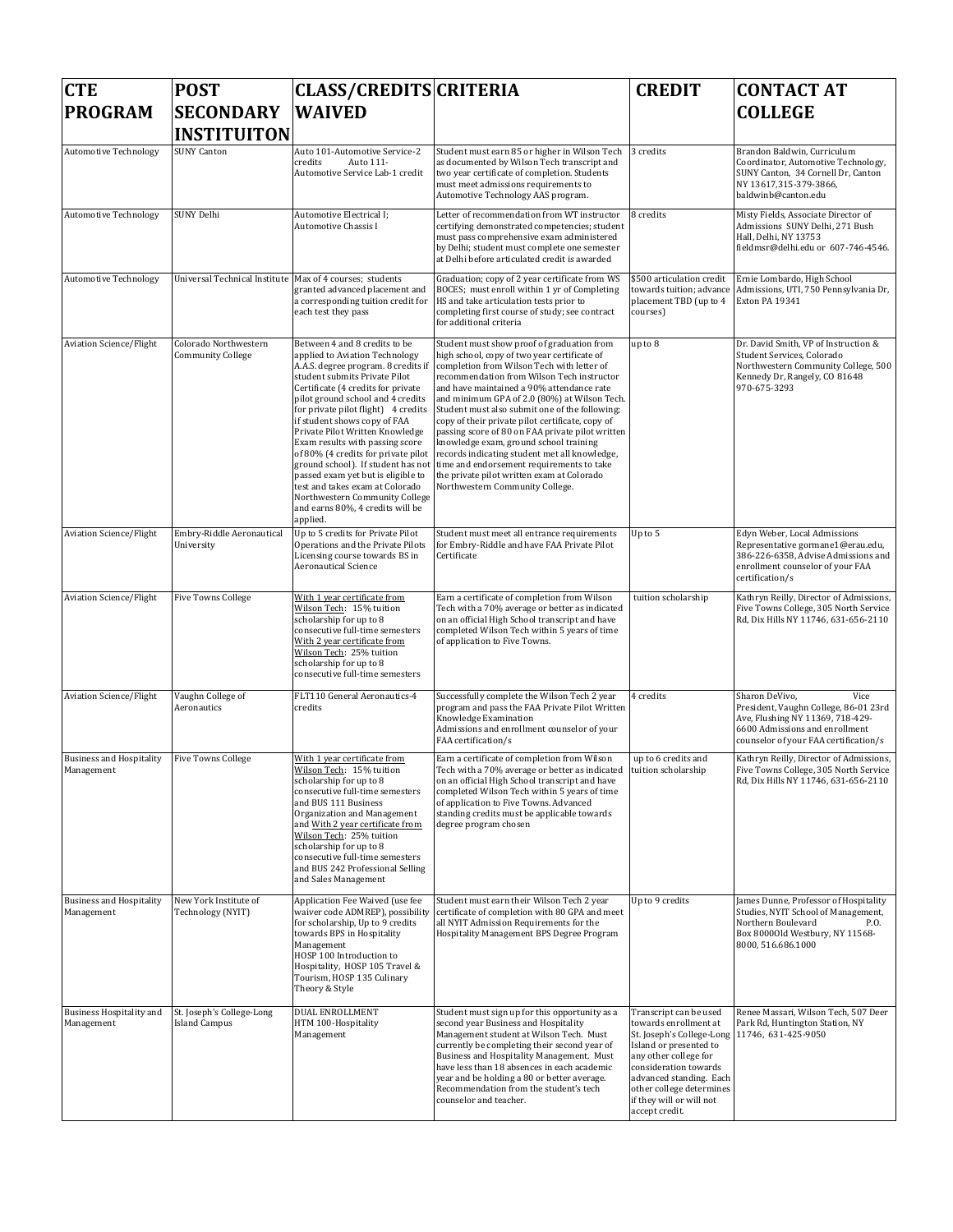| <b>CTE</b><br><b>PROGRAM</b>                  | <b>POST</b><br><b>SECONDARY</b>                            | <b>CLASS/CREDITS CRITERIA</b><br><b>WAIVED</b>                                                                                                                                                                                                                                                                                                                                                                                                                                                                                                                                                          |                                                                                                                                                                                                                                                                                                                                                                                                                                                                                                                                                                                                                                                                        | <b>CREDIT</b>                                                                                                                                                                                                                                                 | <b>CONTACT AT</b><br><b>COLLEGE</b>                                                                                                                                            |
|-----------------------------------------------|------------------------------------------------------------|---------------------------------------------------------------------------------------------------------------------------------------------------------------------------------------------------------------------------------------------------------------------------------------------------------------------------------------------------------------------------------------------------------------------------------------------------------------------------------------------------------------------------------------------------------------------------------------------------------|------------------------------------------------------------------------------------------------------------------------------------------------------------------------------------------------------------------------------------------------------------------------------------------------------------------------------------------------------------------------------------------------------------------------------------------------------------------------------------------------------------------------------------------------------------------------------------------------------------------------------------------------------------------------|---------------------------------------------------------------------------------------------------------------------------------------------------------------------------------------------------------------------------------------------------------------|--------------------------------------------------------------------------------------------------------------------------------------------------------------------------------|
|                                               | <b>INSTITUITON</b><br><b>SUNY Canton</b>                   | Auto 101-Automotive Service-2                                                                                                                                                                                                                                                                                                                                                                                                                                                                                                                                                                           |                                                                                                                                                                                                                                                                                                                                                                                                                                                                                                                                                                                                                                                                        |                                                                                                                                                                                                                                                               |                                                                                                                                                                                |
| <b>Automotive Technology</b>                  |                                                            | credits<br>Auto 111-<br>Automotive Service Lab-1 credit                                                                                                                                                                                                                                                                                                                                                                                                                                                                                                                                                 | Student must earn 85 or higher in Wilson Tech<br>as documented by Wilson Tech transcript and<br>two year certificate of completion. Students<br>must meet admissions requirements to<br>Automotive Technology AAS program.                                                                                                                                                                                                                                                                                                                                                                                                                                             | 3 credits                                                                                                                                                                                                                                                     | Brandon Baldwin, Curriculum<br>Coordinator, Automotive Technology,<br>SUNY Canton, 34 Cornell Dr, Canton<br>NY 13617,315-379-3866,<br>baldwinb@canton.edu                      |
| <b>Automotive Technology</b>                  | <b>SUNY Delhi</b>                                          | Automotive Electrical I;<br>Automotive Chassis I                                                                                                                                                                                                                                                                                                                                                                                                                                                                                                                                                        | Letter of recommendation from WT instructor<br>certifying demonstrated competencies; student<br>must pass comprehensive exam administered<br>by Delhi; student must complete one semester<br>at Delhi before articulated credit is awarded                                                                                                                                                                                                                                                                                                                                                                                                                             | 8 credits                                                                                                                                                                                                                                                     | Misty Fields, Associate Director of<br>Admissions SUNY Delhi, 271 Bush<br>Hall, Delhi, NY 13753<br>fieldmsr@delhi.edu or 607-746-4546.                                         |
| <b>Automotive Technology</b>                  | Universal Technical Institute   Max of 4 courses; students | granted advanced placement and<br>a corresponding tuition credit for<br>each test they pass                                                                                                                                                                                                                                                                                                                                                                                                                                                                                                             | Graduation; copy of 2 year certificate from WS<br>BOCES; must enroll within 1 yr of Completing<br>HS and take articulation tests prior to<br>completing first course of study; see contract<br>for additional criteria                                                                                                                                                                                                                                                                                                                                                                                                                                                 | \$500 articulation credit<br>towards tuition; advance<br>placement TBD (up to 4<br>courses)                                                                                                                                                                   | Ernie Lombardo, High School<br>Admissions, UTI, 750 Pennsylvania Dr,<br>Exton PA 19341                                                                                         |
| Aviation Science/Flight                       | Colorado Northwestern<br><b>Community College</b>          | Between 4 and 8 credits to be<br>applied to Aviation Technology<br>A.A.S. degree program. 8 credits if<br>student submits Private Pilot<br>Certificate (4 credits for private<br>pilot ground school and 4 credits<br>for private pilot flight) 4 credits<br>if student shows copy of FAA<br>Private Pilot Written Knowledge<br>Exam results with passing score<br>of 80% (4 credits for private pilot<br>ground school). If student has not<br>passed exam yet but is eligible to<br>test and takes exam at Colorado<br>Northwestern Community College<br>and earns 80%, 4 credits will be<br>applied. | Student must show proof of graduation from<br>high school, copy of two year certificate of<br>completion from Wilson Tech with letter of<br>recommendation from Wilson Tech instructor<br>and have maintained a 90% attendance rate<br>and minimum GPA of 2.0 (80%) at Wilson Tech.<br>Student must also submit one of the following;<br>copy of their private pilot certificate, copy of<br>passing score of 80 on FAA private pilot written<br>knowledge exam, ground school training<br>records indicating student met all knowledge,<br>time and endorsement requirements to take<br>the private pilot written exam at Colorado<br>Northwestern Community College. | up to 8                                                                                                                                                                                                                                                       | Dr. David Smith, VP of Instruction &<br>Student Services, Colorado<br>Northwestern Community College, 500<br>Kennedy Dr, Rangely, CO 81648<br>970-675-3293                     |
| <b>Aviation Science/Flight</b>                | Embry-Riddle Aeronautical<br>University                    | Up to 5 credits for Private Pilot<br>Operations and the Private Pilots<br>Licensing course towards BS in<br><b>Aeronautical Science</b>                                                                                                                                                                                                                                                                                                                                                                                                                                                                 | Student must meet all entrance requirements<br>for Embry-Riddle and have FAA Private Pilot<br>Certificate                                                                                                                                                                                                                                                                                                                                                                                                                                                                                                                                                              | Up to 5                                                                                                                                                                                                                                                       | Edyn Weber, Local Admissions<br>Representative gormane1@erau.edu,<br>386-226-6358, Advise Admissions and<br>enrollment counselor of your FAA<br>certification/s                |
| <b>Aviation Science/Flight</b>                | <b>Five Towns College</b>                                  | With 1 year certificate from<br>Wilson Tech: 15% tuition<br>scholarship for up to 8<br>consecutive full-time semesters<br>With 2 year certificate from<br>Wilson Tech: 25% tuition<br>scholarship for up to 8<br>consecutive full-time semesters                                                                                                                                                                                                                                                                                                                                                        | Earn a certificate of completion from Wilson<br>Tech with a 70% average or better as indicated<br>on an official High School transcript and have<br>completed Wilson Tech within 5 years of time<br>of application to Five Towns.                                                                                                                                                                                                                                                                                                                                                                                                                                      | tuition scholarship                                                                                                                                                                                                                                           | Kathryn Reilly, Director of Admissions,<br>Five Towns College, 305 North Service<br>Rd, Dix Hills NY 11746, 631-656-2110                                                       |
| <b>Aviation Science/Flight</b>                | Vaughn College of<br>Aeronautics                           | FLT110 General Aeronautics-4<br>credits                                                                                                                                                                                                                                                                                                                                                                                                                                                                                                                                                                 | Successfully complete the Wilson Tech 2 year<br>program and pass the FAA Private Pilot Written<br>Knowledge Examination<br>Admissions and enrollment counselor of your<br>FAA certification/s                                                                                                                                                                                                                                                                                                                                                                                                                                                                          | 4 credits                                                                                                                                                                                                                                                     | Sharon DeVivo.<br>Vice<br>President, Vaughn College, 86-01 23rd<br>Ave, Flushing NY 11369, 718-429-<br>6600 Admissions and enrollment<br>counselor of your FAA certification/s |
| <b>Business and Hospitality</b><br>Management | <b>Five Towns College</b>                                  | With 1 year certificate from<br>Wilson Tech: 15% tuition<br>scholarship for up to 8<br>consecutive full-time semesters<br>and BUS 111 Business<br>Organization and Management<br>and With 2 year certificate from<br>Wilson Tech: 25% tuition<br>scholarship for up to 8<br>consecutive full-time semesters<br>and BUS 242 Professional Selling<br>and Sales Management                                                                                                                                                                                                                                 | Earn a certificate of completion from Wilson<br>Tech with a 70% average or better as indicated tuition scholarship<br>on an official High School transcript and have<br>completed Wilson Tech within 5 years of time<br>of application to Five Towns. Advanced<br>standing credits must be applicable towards<br>degree program chosen                                                                                                                                                                                                                                                                                                                                 | up to 6 credits and                                                                                                                                                                                                                                           | Kathryn Reilly, Director of Admissions,<br>Five Towns College, 305 North Service<br>Rd, Dix Hills NY 11746, 631-656-2110                                                       |
| <b>Business and Hospitality</b><br>Management | New York Institute of<br>Technology (NYIT)                 | Application Fee Waived (use fee<br>waiver code ADMREP), possibility<br>for scholarship, Up to 9 credits<br>towards BPS in Hospitality<br>Management<br>HOSP 100 Introduction to<br>Hospitality, HOSP 105 Travel &<br>Tourism, HOSP 135 Culinary<br>Theory & Style                                                                                                                                                                                                                                                                                                                                       | Student must earn their Wilson Tech 2 year<br>certificate of completion with 80 GPA and meet<br>all NYIT Admission Requirements for the<br>Hospitality Management BPS Degree Program                                                                                                                                                                                                                                                                                                                                                                                                                                                                                   | Up to 9 credits                                                                                                                                                                                                                                               | James Dunne, Professor of Hospitality<br>Studies, NYIT School of Management,<br>Northern Boulevard<br>P.O.<br>Box 80000ld Westbury, NY 11568-<br>8000, 516.686.1000            |
| <b>Business Hospitality and</b><br>Management | St. Joseph's College-Long<br><b>Island Campus</b>          | DUAL ENROLLMENT<br>HTM 100-Hospitality<br>Management                                                                                                                                                                                                                                                                                                                                                                                                                                                                                                                                                    | Student must sign up for this opportunity as a<br>second year Business and Hospitality<br>Management student at Wilson Tech. Must<br>currently be completing their second year of<br>Business and Hospitality Management. Must<br>have less than 18 absences in each academic<br>year and be holding a 80 or better average.<br>Recommendation from the student's tech<br>counselor and teacher.                                                                                                                                                                                                                                                                       | Transcript can be used<br>towards enrollment at<br>St. Joseph's College-Long<br>Island or presented to<br>any other college for<br>consideration towards<br>advanced standing. Each<br>other college determines<br>if they will or will not<br>accept credit. | Renee Massari, Wilson Tech, 507 Deer<br>Park Rd, Huntington Station, NY<br>11746, 631-425-9050                                                                                 |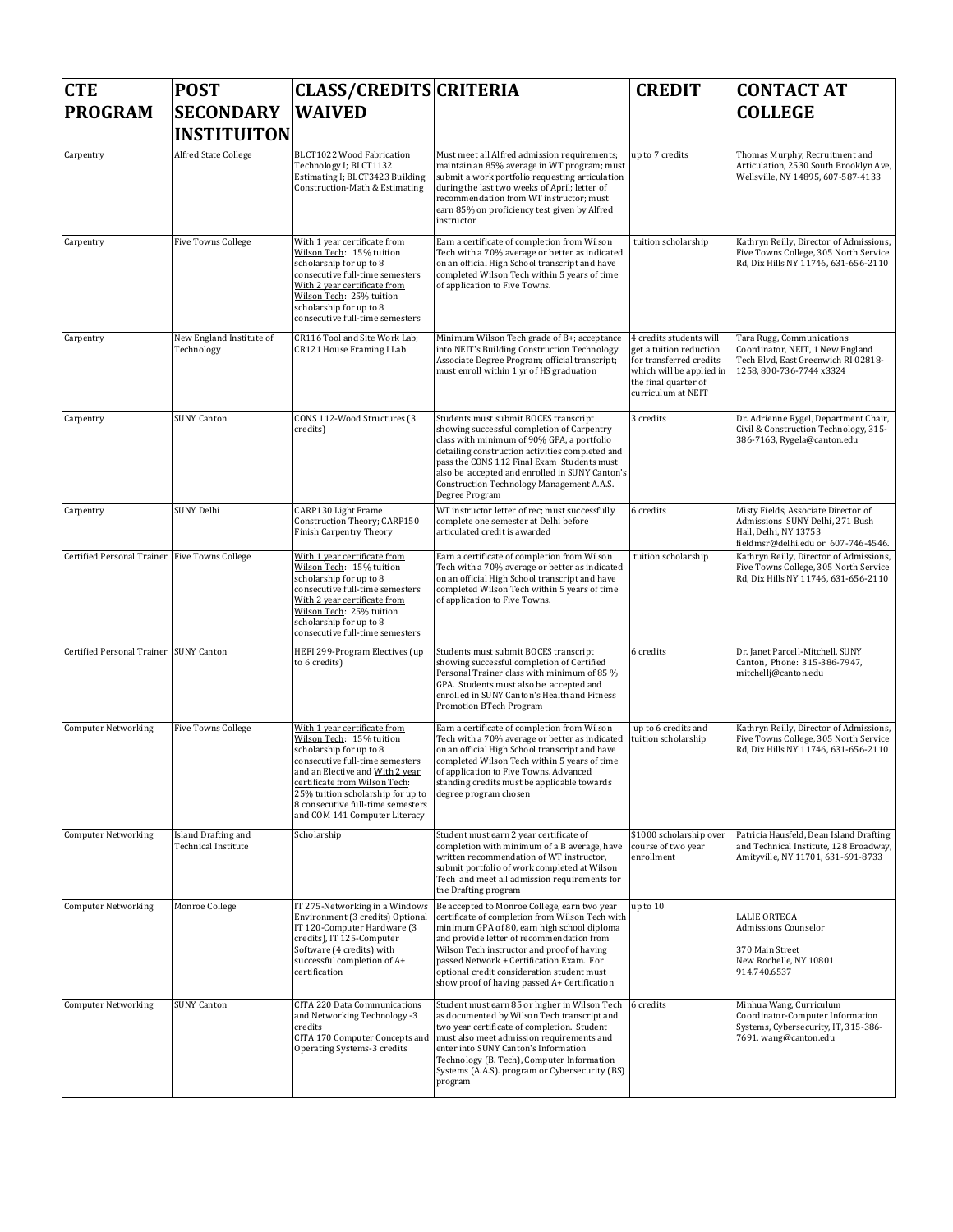| <b>CTE</b>                                    | <b>POST</b>                                       | <b>CLASS/CREDITS CRITERIA</b>                                                                                                                                                                                                                                                                         |                                                                                                                                                                                                                                                                                                                                                                                     | <b>CREDIT</b>                                                                                                                                           | <b>CONTACT AT</b>                                                                                                                      |
|-----------------------------------------------|---------------------------------------------------|-------------------------------------------------------------------------------------------------------------------------------------------------------------------------------------------------------------------------------------------------------------------------------------------------------|-------------------------------------------------------------------------------------------------------------------------------------------------------------------------------------------------------------------------------------------------------------------------------------------------------------------------------------------------------------------------------------|---------------------------------------------------------------------------------------------------------------------------------------------------------|----------------------------------------------------------------------------------------------------------------------------------------|
| <b>PROGRAM</b>                                | <b>SECONDARY</b><br><b>INSTITUITON</b>            | <b>WAIVED</b>                                                                                                                                                                                                                                                                                         |                                                                                                                                                                                                                                                                                                                                                                                     |                                                                                                                                                         | <b>COLLEGE</b>                                                                                                                         |
| Carpentry                                     | Alfred State College                              | BLCT1022 Wood Fabrication<br>Technology I; BLCT1132<br>Estimating I; BLCT3423 Building<br>Construction-Math & Estimating                                                                                                                                                                              | Must meet all Alfred admission requirements;<br>maintain an 85% average in WT program; must<br>submit a work portfolio requesting articulation<br>during the last two weeks of April; letter of<br>recommendation from WT instructor; must<br>earn 85% on proficiency test given by Alfred<br>instructor                                                                            | up to 7 credits                                                                                                                                         | Thomas Murphy, Recruitment and<br>Articulation, 2530 South Brooklyn Ave,<br>Wellsville, NY 14895, 607-587-4133                         |
| Carpentry                                     | <b>Five Towns College</b>                         | With 1 year certificate from<br>Wilson Tech: 15% tuition<br>scholarship for up to 8<br>consecutive full-time semesters<br>With 2 year certificate from<br>Wilson Tech: 25% tuition<br>scholarship for up to 8<br>consecutive full-time semesters                                                      | Earn a certificate of completion from Wilson<br>Tech with a 70% average or better as indicated<br>on an official High School transcript and have<br>completed Wilson Tech within 5 years of time<br>of application to Five Towns.                                                                                                                                                   | tuition scholarship                                                                                                                                     | Kathryn Reilly, Director of Admissions,<br>Five Towns College, 305 North Service<br>Rd, Dix Hills NY 11746, 631-656-2110               |
| Carpentry                                     | New England Institute of<br>Technology            | CR116 Tool and Site Work Lab;<br>CR121 House Framing I Lab                                                                                                                                                                                                                                            | Minimum Wilson Tech grade of B+; acceptance<br>into NEIT's Building Construction Technology<br>Associate Degree Program; official transcript;<br>must enroll within 1 yr of HS graduation                                                                                                                                                                                           | 4 credits students will<br>get a tuition reduction<br>for transferred credits<br>which will be applied in<br>the final quarter of<br>curriculum at NEIT | Tara Rugg, Communications<br>Coordinator, NEIT, 1 New England<br>Tech Blvd, East Greenwich RI 02818-<br>1258, 800-736-7744 x3324       |
| Carpentry                                     | <b>SUNY Canton</b>                                | CONS 112-Wood Structures (3<br>credits)                                                                                                                                                                                                                                                               | Students must submit BOCES transcript<br>showing successful completion of Carpentry<br>class with minimum of 90% GPA, a portfolio<br>detailing construction activities completed and<br>pass the CONS 112 Final Exam Students must<br>also be accepted and enrolled in SUNY Canton's<br>Construction Technology Management A.A.S.<br>Degree Program                                 | 3 credits                                                                                                                                               | Dr. Adrienne Rygel, Department Chair,<br>Civil & Construction Technology, 315-<br>386-7163, Rygela@canton.edu                          |
| Carpentry                                     | SUNY Delhi                                        | CARP130 Light Frame<br>Construction Theory; CARP150<br>Finish Carpentry Theory                                                                                                                                                                                                                        | WT instructor letter of rec; must successfully<br>complete one semester at Delhi before<br>articulated credit is awarded                                                                                                                                                                                                                                                            | 6 credits                                                                                                                                               | Misty Fields, Associate Director of<br>Admissions SUNY Delhi, 271 Bush<br>Hall, Delhi, NY 13753<br>fieldmsr@delhi.edu or 607-746-4546. |
| Certified Personal Trainer Five Towns College |                                                   | With 1 year certificate from<br>Wilson Tech: 15% tuition<br>scholarship for up to 8<br>consecutive full-time semesters<br>With 2 year certificate from<br>Wilson Tech: 25% tuition<br>scholarship for up to 8<br>consecutive full-time semesters                                                      | Earn a certificate of completion from Wilson<br>Tech with a 70% average or better as indicated<br>on an official High School transcript and have<br>completed Wilson Tech within 5 years of time<br>of application to Five Towns.                                                                                                                                                   | tuition scholarship                                                                                                                                     | Kathryn Reilly, Director of Admissions,<br>Five Towns College, 305 North Service<br>Rd, Dix Hills NY 11746, 631-656-2110               |
| Certified Personal Trainer SUNY Canton        |                                                   | HEFI 299-Program Electives (up<br>to 6 credits)                                                                                                                                                                                                                                                       | Students must submit BOCES transcript<br>showing successful completion of Certified<br>Personal Trainer class with minimum of 85 %<br>GPA. Students must also be accepted and<br>enrolled in SUNY Canton's Health and Fitness<br>Promotion BTech Program                                                                                                                            | 6 credits                                                                                                                                               | Dr. Janet Parcell-Mitchell, SUNY<br>Canton, Phone: 315-386-7947,<br>mitchellj@canton.edu                                               |
| <b>Computer Networking</b>                    | <b>Five Towns College</b>                         | With 1 year certificate from<br>Wilson Tech: 15% tuition<br>scholarship for up to 8<br>consecutive full-time semesters<br>and an Elective and With 2 year<br>certificate from Wilson Tech:<br>25% tuition scholarship for up to<br>8 consecutive full-time semesters<br>and COM 141 Computer Literacy | Earn a certificate of completion from Wilson<br>Tech with a 70% average or better as indicated<br>on an official High School transcript and have<br>completed Wilson Tech within 5 years of time<br>of application to Five Towns. Advanced<br>standing credits must be applicable towards<br>degree program chosen                                                                  | up to 6 credits and<br>tuition scholarship                                                                                                              | Kathryn Reilly, Director of Admissions,<br>Five Towns College, 305 North Service<br>Rd, Dix Hills NY 11746, 631-656-2110               |
| <b>Computer Networking</b>                    | Island Drafting and<br><b>Technical Institute</b> | Scholarship                                                                                                                                                                                                                                                                                           | Student must earn 2 year certificate of<br>completion with minimum of a B average, have<br>written recommendation of WT instructor,<br>submit portfolio of work completed at Wilson<br>Tech and meet all admission requirements for<br>the Drafting program                                                                                                                         | \$1000 scholarship over<br>course of two year<br>enrollment                                                                                             | Patricia Hausfeld, Dean Island Drafting<br>and Technical Institute, 128 Broadway,<br>Amityville, NY 11701, 631-691-8733                |
| <b>Computer Networking</b>                    | Monroe College                                    | IT 275-Networking in a Windows<br>Environment (3 credits) Optional<br>IT 120-Computer Hardware (3<br>credits), IT 125-Computer<br>Software (4 credits) with<br>successful completion of A+<br>certification                                                                                           | Be accepted to Monroe College, earn two year<br>certificate of completion from Wilson Tech with<br>minimum GPA of 80, earn high school diploma<br>and provide letter of recommendation from<br>Wilson Tech instructor and proof of having<br>passed Network + Certification Exam. For<br>optional credit consideration student must<br>show proof of having passed A+ Certification | up to 10                                                                                                                                                | <b>LALIE ORTEGA</b><br><b>Admissions Counselor</b><br>370 Main Street<br>New Rochelle, NY 10801<br>914.740.6537                        |
| <b>Computer Networking</b>                    | <b>SUNY Canton</b>                                | CITA 220 Data Communications<br>and Networking Technology -3<br>credits<br>CITA 170 Computer Concepts and<br>Operating Systems-3 credits                                                                                                                                                              | Student must earn 85 or higher in Wilson Tech<br>as documented by Wilson Tech transcript and<br>two year certificate of completion. Student<br>must also meet admission requirements and<br>enter into SUNY Canton's Information<br>Technology (B. Tech), Computer Information<br>Systems (A.A.S). program or Cybersecurity (BS)<br>program                                         | 6 credits                                                                                                                                               | Minhua Wang, Curriculum<br>Coordinator-Computer Information<br>Systems, Cybersecurity, IT, 315-386-<br>7691, wang@canton.edu           |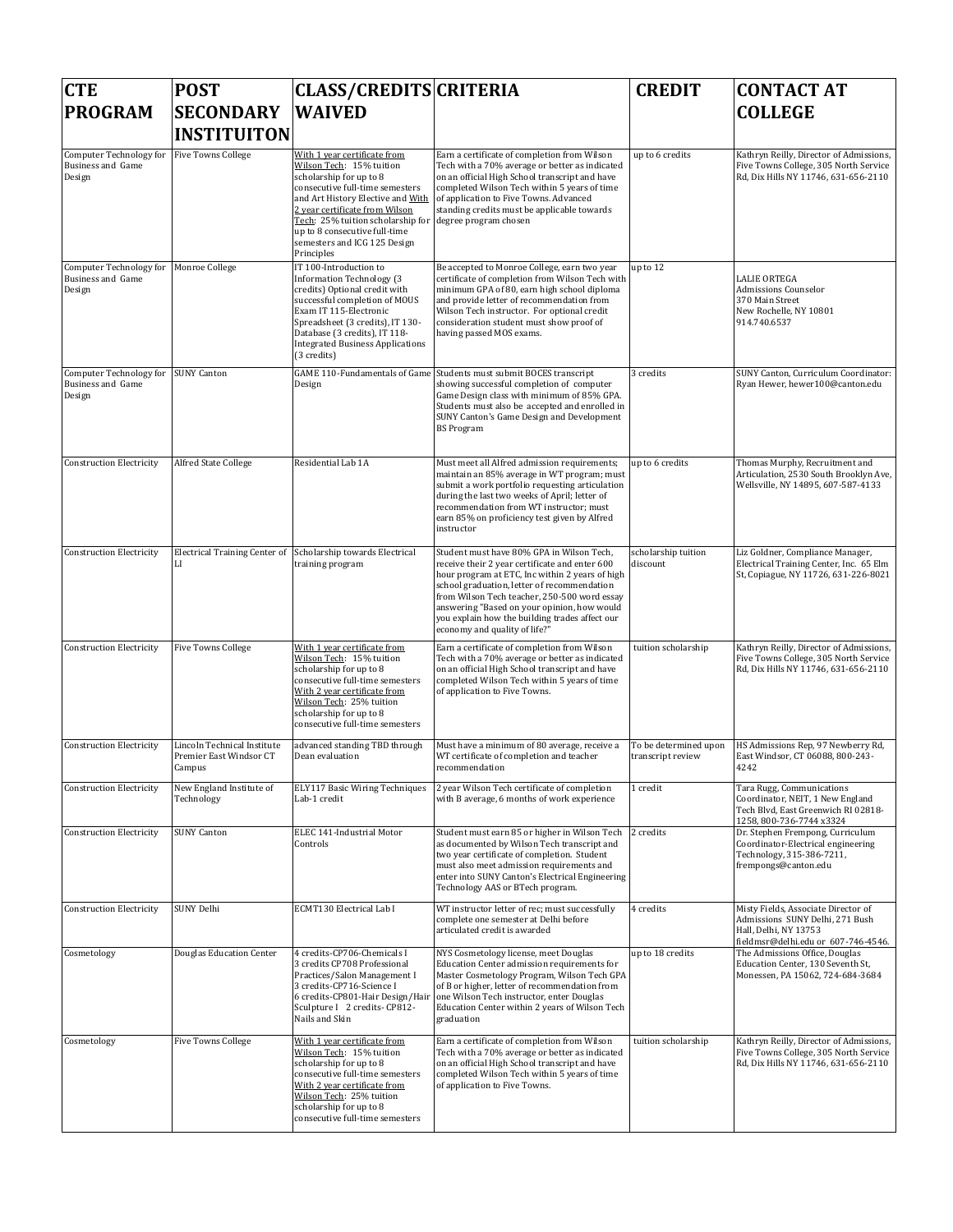| <b>CTE</b>                                             | <b>POST</b>                                                      | <b>CLASS/CREDITS CRITERIA</b>                                                                                                                                                                                                                                                                                     |                                                                                                                                                                                                                                                                                                                                                                                 | <b>CREDIT</b>                              | <b>CONTACT AT</b>                                                                                                                      |
|--------------------------------------------------------|------------------------------------------------------------------|-------------------------------------------------------------------------------------------------------------------------------------------------------------------------------------------------------------------------------------------------------------------------------------------------------------------|---------------------------------------------------------------------------------------------------------------------------------------------------------------------------------------------------------------------------------------------------------------------------------------------------------------------------------------------------------------------------------|--------------------------------------------|----------------------------------------------------------------------------------------------------------------------------------------|
| <b>PROGRAM</b>                                         | <b>SECONDARY</b><br><b>INSTITUITON</b>                           | <b>WAIVED</b>                                                                                                                                                                                                                                                                                                     |                                                                                                                                                                                                                                                                                                                                                                                 |                                            | <b>COLLEGE</b>                                                                                                                         |
| Computer Technology for<br>Business and Game<br>Design | <b>Five Towns College</b>                                        | With 1 year certificate from<br>Wilson Tech: 15% tuition<br>scholarship for up to 8<br>consecutive full-time semesters<br>and Art History Elective and With<br>2 year certificate from Wilson<br>Tech: 25% tuition scholarship for<br>up to 8 consecutive full-time<br>semesters and ICG 125 Design<br>Principles | Earn a certificate of completion from Wilson<br>Tech with a 70% average or better as indicated<br>on an official High School transcript and have<br>completed Wilson Tech within 5 years of time<br>of application to Five Towns. Advanced<br>standing credits must be applicable towards<br>degree program chosen                                                              | up to 6 credits                            | Kathryn Reilly, Director of Admissions,<br>Five Towns College, 305 North Service<br>Rd, Dix Hills NY 11746, 631-656-2110               |
| Computer Technology for<br>Business and Game<br>Design | Monroe College                                                   | IT 100-Introduction to<br>Information Technology (3<br>credits) Optional credit with<br>successful completion of MOUS<br>Exam IT 115-Electronic<br>Spreadsheet (3 credits), IT 130-<br>Database (3 credits), IT 118-<br><b>Integrated Business Applications</b><br>(3 credits)                                    | Be accepted to Monroe College, earn two year<br>certificate of completion from Wilson Tech with<br>minimum GPA of 80, earn high school diploma<br>and provide letter of recommendation from<br>Wilson Tech instructor. For optional credit<br>consideration student must show proof of<br>having passed MOS exams.                                                              | up to 12                                   | <b>LALIE ORTEGA</b><br><b>Admissions Counselor</b><br>370 Main Street<br>New Rochelle, NY 10801<br>914.740.6537                        |
| Computer Technology for<br>Business and Game<br>Design | <b>SUNY Canton</b>                                               | <b>GAME 110-Fundamentals of Game</b><br>Design                                                                                                                                                                                                                                                                    | Students must submit BOCES transcript<br>showing successful completion of computer<br>Game Design class with minimum of 85% GPA.<br>Students must also be accepted and enrolled in<br>SUNY Canton's Game Design and Development<br><b>BS</b> Program                                                                                                                            | 3 credits                                  | SUNY Canton, Curriculum Coordinator:<br>Ryan Hewer, hewer100@canton.edu                                                                |
| <b>Construction Electricity</b>                        | Alfred State College                                             | Residential Lab 1A                                                                                                                                                                                                                                                                                                | Must meet all Alfred admission requirements;<br>maintain an 85% average in WT program; must<br>submit a work portfolio requesting articulation<br>during the last two weeks of April; letter of<br>recommendation from WT instructor: must<br>earn 85% on proficiency test given by Alfred<br>instructor                                                                        | up to 6 credits                            | Thomas Murphy, Recruitment and<br>Articulation, 2530 South Brooklyn Ave,<br>Wellsville, NY 14895, 607-587-4133                         |
| <b>Construction Electricity</b>                        | <b>Electrical Training Center of</b><br>LI                       | Scholarship towards Electrical<br>training program                                                                                                                                                                                                                                                                | Student must have 80% GPA in Wilson Tech,<br>receive their 2 year certificate and enter 600<br>hour program at ETC, Inc within 2 years of high<br>school graduation, letter of recommendation<br>from Wilson Tech teacher, 250-500 word essay<br>answering "Based on your opinion, how would<br>you explain how the building trades affect our<br>economy and quality of life?" | scholarship tuition<br>discount            | Liz Goldner, Compliance Manager,<br>Electrical Training Center, Inc. 65 Elm<br>St, Copiague, NY 11726, 631-226-8021                    |
| <b>Construction Electricity</b>                        | <b>Five Towns College</b>                                        | With 1 year certificate from<br>Wilson Tech: 15% tuition<br>scholarship for up to 8<br>consecutive full-time semesters<br>With 2 year certificate from<br>Wilson Tech: 25% tuition<br>scholarship for up to 8<br>consecutive full-time semesters                                                                  | Earn a certificate of completion from Wilson<br>Tech with a 70% average or better as indicated<br>on an official High School transcript and have<br>completed Wilson Tech within 5 years of time<br>of application to Five Towns.                                                                                                                                               | tuition scholarship                        | Kathryn Reilly, Director of Admissions,<br>Five Towns College, 305 North Service<br>Rd, Dix Hills NY 11746, 631-656-2110               |
| <b>Construction Electricity</b>                        | Lincoln Technical Institute<br>Premier East Windsor CT<br>Campus | advanced standing TBD through<br>Dean evaluation                                                                                                                                                                                                                                                                  | Must have a minimum of 80 average, receive a<br>WT certificate of completion and teacher<br>recommendation                                                                                                                                                                                                                                                                      | To be determined upon<br>transcript review | HS Admissions Rep, 97 Newberry Rd,<br>East Windsor, CT 06088, 800-243-<br>4242                                                         |
| <b>Construction Electricity</b>                        | New England Institute of<br>Technology                           | ELY117 Basic Wiring Techniques<br>Lab-1 credit                                                                                                                                                                                                                                                                    | 2 year Wilson Tech certificate of completion<br>with B average, 6 months of work experience                                                                                                                                                                                                                                                                                     | 1 credit                                   | Tara Rugg, Communications<br>Coordinator, NEIT, 1 New England<br>Tech Blvd, East Greenwich RI 02818-<br>1258, 800-736-7744 x3324       |
| <b>Construction Electricity</b>                        | <b>SUNY Canton</b>                                               | ELEC 141-Industrial Motor<br>Controls                                                                                                                                                                                                                                                                             | Student must earn 85 or higher in Wilson Tech<br>as documented by Wilson Tech transcript and<br>two year certificate of completion. Student<br>must also meet admission requirements and<br>enter into SUNY Canton's Electrical Engineering<br>Technology AAS or BTech program.                                                                                                 | 2 credits                                  | Dr. Stephen Frempong, Curriculum<br>Coordinator-Electrical engineering<br>Technology, 315-386-7211,<br>frempongs@canton.edu            |
| <b>Construction Electricity</b>                        | SUNY Delhi                                                       | ECMT130 Electrical Lab I                                                                                                                                                                                                                                                                                          | WT instructor letter of rec; must successfully<br>complete one semester at Delhi before<br>articulated credit is awarded                                                                                                                                                                                                                                                        | 4 credits                                  | Misty Fields, Associate Director of<br>Admissions SUNY Delhi, 271 Bush<br>Hall, Delhi, NY 13753<br>fieldmsr@delhi.edu or 607-746-4546. |
| Cosmetology                                            | Douglas Education Center                                         | 4 credits-CP706-Chemicals I<br>3 credits CP708 Professional<br>Practices/Salon Management I<br>3 credits-CP716-Science I<br>6 credits-CP801-Hair Design/Hair<br>Sculpture I 2 credits- CP812-<br>Nails and Skin                                                                                                   | NYS Cosmetology license, meet Douglas<br>Education Center admission requirements for<br>Master Cosmetology Program, Wilson Tech GPA<br>of B or higher, letter of recommendation from<br>one Wilson Tech instructor, enter Douglas<br>Education Center within 2 years of Wilson Tech<br>graduation                                                                               | up to 18 credits                           | The Admissions Office, Douglas<br>Education Center, 130 Seventh St,<br>Monessen, PA 15062, 724-684-3684                                |
| Cosmetology                                            | <b>Five Towns College</b>                                        | With 1 year certificate from<br>Wilson Tech: 15% tuition<br>scholarship for up to 8<br>consecutive full-time semesters<br>With 2 year certificate from<br>Wilson Tech: 25% tuition<br>scholarship for up to 8<br>consecutive full-time semesters                                                                  | Earn a certificate of completion from Wilson<br>Tech with a 70% average or better as indicated<br>on an official High School transcript and have<br>completed Wilson Tech within 5 years of time<br>of application to Five Towns.                                                                                                                                               | tuition scholarship                        | Kathryn Reilly, Director of Admissions,<br>Five Towns College, 305 North Service<br>Rd, Dix Hills NY 11746, 631-656-2110               |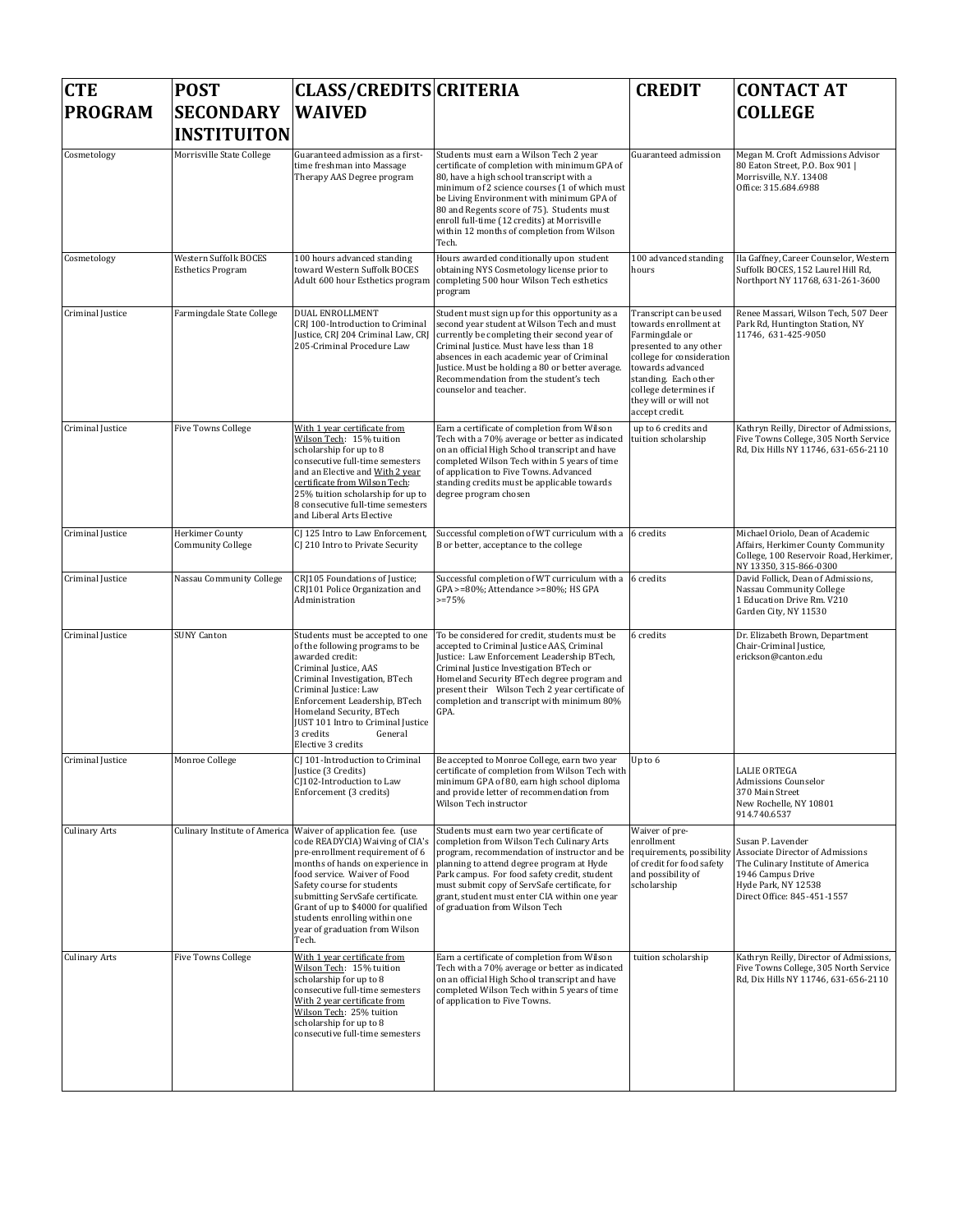| <b>CTE</b><br><b>PROGRAM</b> | <b>POST</b><br><b>SECONDARY</b><br><b>INSTITUITON</b> | <b>CLASS/CREDITS CRITERIA</b><br><b>WAIVED</b>                                                                                                                                                                                                                                                                                                                 |                                                                                                                                                                                                                                                                                                                                                                                         | <b>CREDIT</b>                                                                                                                                                                                                                            | <b>CONTACT AT</b><br><b>COLLEGE</b>                                                                                                                                   |
|------------------------------|-------------------------------------------------------|----------------------------------------------------------------------------------------------------------------------------------------------------------------------------------------------------------------------------------------------------------------------------------------------------------------------------------------------------------------|-----------------------------------------------------------------------------------------------------------------------------------------------------------------------------------------------------------------------------------------------------------------------------------------------------------------------------------------------------------------------------------------|------------------------------------------------------------------------------------------------------------------------------------------------------------------------------------------------------------------------------------------|-----------------------------------------------------------------------------------------------------------------------------------------------------------------------|
| Cosmetology                  | Morrisville State College                             | Guaranteed admission as a first-<br>time freshman into Massage<br>Therapy AAS Degree program                                                                                                                                                                                                                                                                   | Students must earn a Wilson Tech 2 year<br>certificate of completion with minimum GPA of<br>80, have a high school transcript with a<br>minimum of 2 science courses (1 of which must<br>be Living Environment with minimum GPA of<br>80 and Regents score of 75). Students must<br>enroll full-time (12 credits) at Morrisville<br>within 12 months of completion from Wilson<br>Tech. | Guaranteed admission                                                                                                                                                                                                                     | Megan M. Croft Admissions Advisor<br>80 Eaton Street, P.O. Box 901  <br>Morrisville, N.Y. 13408<br>Office: 315.684.6988                                               |
| Cosmetology                  | Western Suffolk BOCES<br><b>Esthetics Program</b>     | 100 hours advanced standing<br>toward Western Suffolk BOCES<br>Adult 600 hour Esthetics program                                                                                                                                                                                                                                                                | Hours awarded conditionally upon student<br>obtaining NYS Cosmetology license prior to<br>completing 500 hour Wilson Tech esthetics<br>program                                                                                                                                                                                                                                          | 100 advanced standing<br>hours                                                                                                                                                                                                           | Ila Gaffney, Career Counselor, Western<br>Suffolk BOCES, 152 Laurel Hill Rd,<br>Northport NY 11768, 631-261-3600                                                      |
| Criminal Justice             | Farmingdale State College                             | <b>DUAL ENROLLMENT</b><br>CRJ 100-Introduction to Criminal<br>Justice, CRJ 204 Criminal Law, CRJ<br>205-Criminal Procedure Law                                                                                                                                                                                                                                 | Student must sign up for this opportunity as a<br>second year student at Wilson Tech and must<br>currently be completing their second year of<br>Criminal Justice. Must have less than 18<br>absences in each academic year of Criminal<br>Justice. Must be holding a 80 or better average.<br>Recommendation from the student's tech<br>counselor and teacher.                         | Transcript can be used<br>towards enrollment at<br>Farmingdale or<br>presented to any other<br>college for consideration<br>towards advanced<br>standing. Each other<br>college determines if<br>they will or will not<br>accept credit. | Renee Massari, Wilson Tech, 507 Deer<br>Park Rd, Huntington Station, NY<br>11746, 631-425-9050                                                                        |
| Criminal Justice             | <b>Five Towns College</b>                             | With 1 year certificate from<br>Wilson Tech: 15% tuition<br>scholarship for up to 8<br>consecutive full-time semesters<br>and an Elective and With 2 year<br>certificate from Wilson Tech:<br>25% tuition scholarship for up to<br>8 consecutive full-time semesters<br>and Liberal Arts Elective                                                              | Earn a certificate of completion from Wilson<br>Tech with a 70% average or better as indicated<br>on an official High School transcript and have<br>completed Wilson Tech within 5 years of time<br>of application to Five Towns. Advanced<br>standing credits must be applicable towards<br>degree program chosen                                                                      | up to 6 credits and<br>tuition scholarship                                                                                                                                                                                               | Kathryn Reilly, Director of Admissions,<br>Five Towns College, 305 North Service<br>Rd, Dix Hills NY 11746, 631-656-2110                                              |
| Criminal Justice             | Herkimer County<br><b>Community College</b>           | CJ 125 Intro to Law Enforcement,<br>CJ 210 Intro to Private Security                                                                                                                                                                                                                                                                                           | Successful completion of WT curriculum with a 6 credits<br>B or better, acceptance to the college                                                                                                                                                                                                                                                                                       |                                                                                                                                                                                                                                          | Michael Oriolo, Dean of Academic<br>Affairs, Herkimer County Community<br>College, 100 Reservoir Road, Herkimer,<br>NY 13350, 315-866-0300                            |
| Criminal Justice             | Nassau Community College                              | CRJ105 Foundations of Justice;<br>CRJ101 Police Organization and<br>Administration                                                                                                                                                                                                                                                                             | Successful completion of WT curriculum with a 6 credits<br>GPA >=80%; Attendance >=80%; HS GPA<br>$>=75%$                                                                                                                                                                                                                                                                               |                                                                                                                                                                                                                                          | David Follick, Dean of Admissions,<br>Nassau Community College<br>1 Education Drive Rm. V210<br>Garden City, NY 11530                                                 |
| Criminal Justice             | <b>SUNY Canton</b>                                    | Students must be accepted to one<br>of the following programs to be<br>awarded credit:<br>Criminal Justice, AAS<br>Criminal Investigation, BTech<br>Criminal Justice: Law<br>Enforcement Leadership, BTech<br>Homeland Security, BTech<br>JUST 101 Intro to Criminal Justice<br>3 credits<br>General<br>Elective 3 credits                                     | To be considered for credit, students must be<br>accepted to Criminal Justice AAS, Criminal<br>Justice: Law Enforcement Leadership BTech,<br>Criminal Justice Investigation BTech or<br>Homeland Security BTech degree program and<br>present their Wilson Tech 2 year certificate of<br>completion and transcript with minimum 80%<br>GPA.                                             | 6 credits                                                                                                                                                                                                                                | Dr. Elizabeth Brown, Department<br>Chair-Criminal Justice,<br>erickson@canton.edu                                                                                     |
| Criminal Justice             | Monroe College                                        | CJ 101-Introduction to Criminal<br>Justice (3 Credits)<br>CJ102-Introduction to Law<br>Enforcement (3 credits)                                                                                                                                                                                                                                                 | Be accepted to Monroe College, earn two year<br>certificate of completion from Wilson Tech with<br>minimum GPA of 80, earn high school diploma<br>and provide letter of recommendation from<br>Wilson Tech instructor                                                                                                                                                                   | Up to 6                                                                                                                                                                                                                                  | <b>LALIE ORTEGA</b><br><b>Admissions Counselor</b><br>370 Main Street<br>New Rochelle, NY 10801<br>914.740.6537                                                       |
| <b>Culinary Arts</b>         | Culinary Institute of America                         | Waiver of application fee. (use<br>code READYCIA) Waiving of CIA's<br>pre-enrollment requirement of 6<br>months of hands on experience in<br>food service. Waiver of Food<br>Safety course for students<br>submitting ServSafe certificate.<br>Grant of up to \$4000 for qualified<br>students enrolling within one<br>year of graduation from Wilson<br>Tech. | Students must earn two year certificate of<br>completion from Wilson Tech Culinary Arts<br>program, recommendation of instructor and be<br>planning to attend degree program at Hyde<br>Park campus. For food safety credit, student<br>must submit copy of ServSafe certificate, for<br>grant, student must enter CIA within one year<br>of graduation from Wilson Tech                | Waiver of pre-<br>enrollment<br>requirements, possibility<br>of credit for food safety<br>and possibility of<br>scholarship                                                                                                              | Susan P. Lavender<br>Associate Director of Admissions<br>The Culinary Institute of America<br>1946 Campus Drive<br>Hyde Park, NY 12538<br>Direct Office: 845-451-1557 |
| <b>Culinary Arts</b>         | <b>Five Towns College</b>                             | With 1 year certificate from<br>Wilson Tech: 15% tuition<br>scholarship for up to 8<br>consecutive full-time semesters<br>With 2 year certificate from<br>Wilson Tech: 25% tuition<br>scholarship for up to 8<br>consecutive full-time semesters                                                                                                               | Earn a certificate of completion from Wilson<br>Tech with a 70% average or better as indicated<br>on an official High School transcript and have<br>completed Wilson Tech within 5 years of time<br>of application to Five Towns.                                                                                                                                                       | tuition scholarship                                                                                                                                                                                                                      | Kathryn Reilly, Director of Admissions,<br>Five Towns College, 305 North Service<br>Rd, Dix Hills NY 11746, 631-656-2110                                              |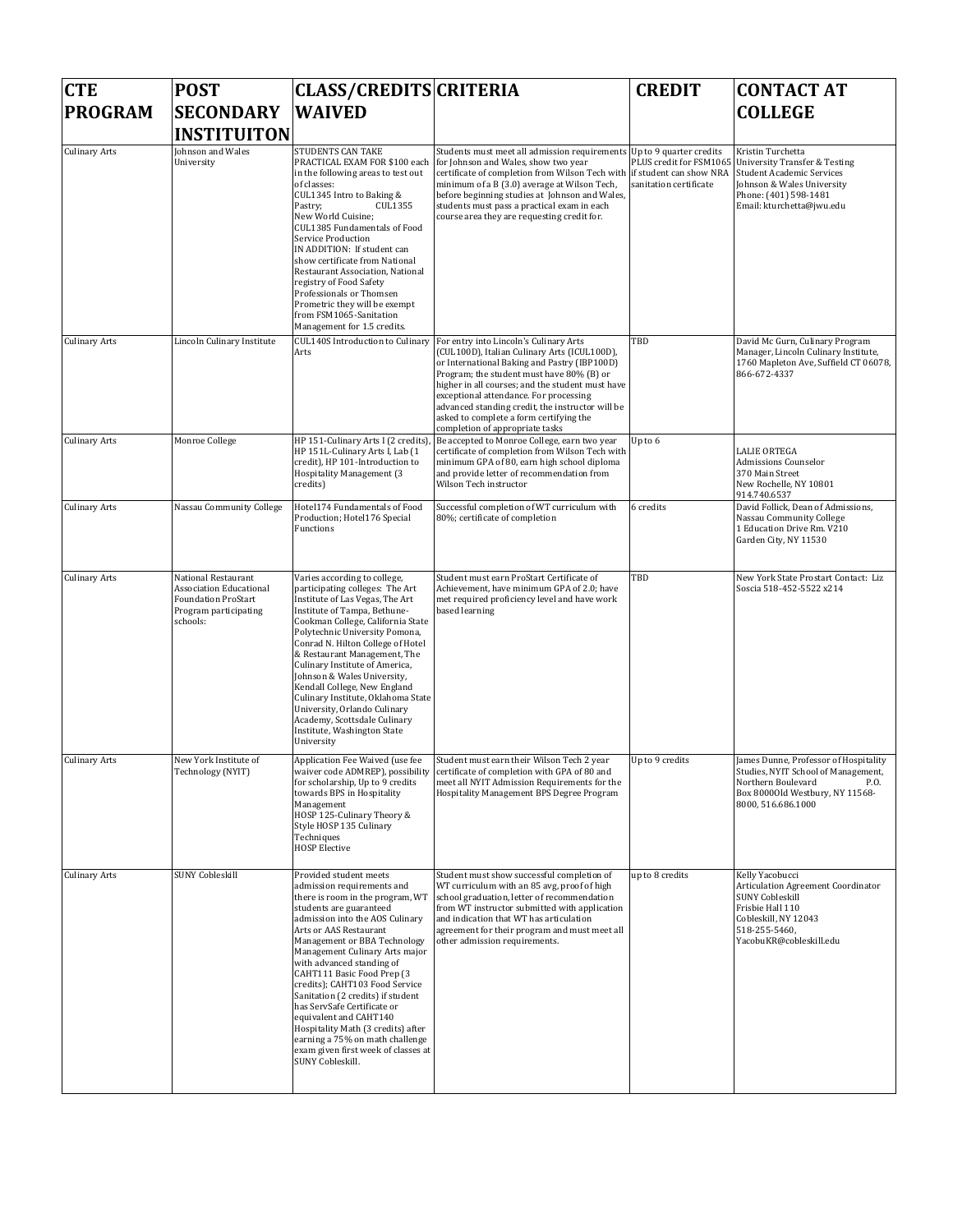| <b>CTE</b><br><b>PROGRAM</b> | <b>POST</b><br><b>SECONDARY</b>                                                                                   | <b>CLASS/CREDITS CRITERIA</b><br><b>WAIVED</b>                                                                                                                                                                                                                                                                                                                                                                                                                                                                                                                                    |                                                                                                                                                                                                                                                                                                                                                                                                                     | <b>CREDIT</b>                                                                | <b>CONTACT AT</b><br><b>COLLEGE</b>                                                                                                                                            |
|------------------------------|-------------------------------------------------------------------------------------------------------------------|-----------------------------------------------------------------------------------------------------------------------------------------------------------------------------------------------------------------------------------------------------------------------------------------------------------------------------------------------------------------------------------------------------------------------------------------------------------------------------------------------------------------------------------------------------------------------------------|---------------------------------------------------------------------------------------------------------------------------------------------------------------------------------------------------------------------------------------------------------------------------------------------------------------------------------------------------------------------------------------------------------------------|------------------------------------------------------------------------------|--------------------------------------------------------------------------------------------------------------------------------------------------------------------------------|
|                              | <b>INSTITUITON</b>                                                                                                |                                                                                                                                                                                                                                                                                                                                                                                                                                                                                                                                                                                   |                                                                                                                                                                                                                                                                                                                                                                                                                     |                                                                              |                                                                                                                                                                                |
| <b>Culinary Arts</b>         | Johnson and Wales<br>University                                                                                   | <b>STUDENTS CAN TAKE</b><br>PRACTICAL EXAM FOR \$100 each<br>in the following areas to test out<br>of classes:<br>CUL1345 Intro to Baking &<br>Pastry;<br>CUL1355<br>New World Cuisine;<br>CUL1385 Fundamentals of Food<br>Service Production<br>IN ADDITION: If student can<br>show certificate from National<br>Restaurant Association, National<br>registry of Food Safety<br>Professionals or Thomsen<br>Prometric they will be exempt<br>from FSM1065-Sanitation<br>Management for 1.5 credits.                                                                              | Students must meet all admission requirements Up to 9 quarter credits<br>for Johnson and Wales, show two year<br>certificate of completion from Wilson Tech with<br>minimum of a B (3.0) average at Wilson Tech,<br>before beginning studies at Johnson and Wales,<br>students must pass a practical exam in each<br>course area they are requesting credit for.                                                    | PLUS credit for FSM1065<br>if student can show NRA<br>sanitation certificate | Kristin Turchetta<br><b>University Transfer &amp; Testing</b><br>Student Academic Services<br>Johnson & Wales University<br>Phone: (401) 598-1481<br>Email: kturchetta@jwu.edu |
| <b>Culinary Arts</b>         | Lincoln Culinary Institute                                                                                        | CUL140S Introduction to Culinary<br>Arts                                                                                                                                                                                                                                                                                                                                                                                                                                                                                                                                          | For entry into Lincoln's Culinary Arts<br>(CUL100D), Italian Culinary Arts (ICUL100D),<br>or International Baking and Pastry (IBP100D)<br>Program; the student must have 80% (B) or<br>higher in all courses; and the student must have<br>exceptional attendance. For processing<br>advanced standing credit, the instructor will be<br>asked to complete a form certifying the<br>completion of appropriate tasks | TBD                                                                          | David Mc Gurn, Culinary Program<br>Manager, Lincoln Culinary Institute,<br>1760 Mapleton Ave, Suffield CT 06078,<br>866-672-4337                                               |
| <b>Culinary Arts</b>         | Monroe College                                                                                                    | HP 151-Culinary Arts I (2 credits)<br>HP 151L-Culinary Arts I, Lab (1<br>credit), HP 101-Introduction to<br>Hospitality Management (3<br>credits)                                                                                                                                                                                                                                                                                                                                                                                                                                 | Be accepted to Monroe College, earn two year<br>certificate of completion from Wilson Tech with<br>minimum GPA of 80, earn high school diploma<br>and provide letter of recommendation from<br>Wilson Tech instructor                                                                                                                                                                                               | Up to 6                                                                      | <b>LALIE ORTEGA</b><br>Admissions Counselor<br>370 Main Street<br>New Rochelle, NY 10801<br>914.740.6537                                                                       |
| <b>Culinary Arts</b>         | Nassau Community College                                                                                          | Hotel174 Fundamentals of Food<br>Production; Hotel176 Special<br>Functions                                                                                                                                                                                                                                                                                                                                                                                                                                                                                                        | Successful completion of WT curriculum with<br>80%; certificate of completion                                                                                                                                                                                                                                                                                                                                       | 6 credits                                                                    | David Follick, Dean of Admissions,<br>Nassau Community College<br>1 Education Drive Rm. V210<br>Garden City, NY 11530                                                          |
| <b>Culinary Arts</b>         | National Restaurant<br>Association Educational<br><b>Foundation ProStart</b><br>Program participating<br>schools: | Varies according to college,<br>participating colleges: The Art<br>Institute of Las Vegas, The Art<br>Institute of Tampa, Bethune-<br>Cookman College, California State<br>Polytechnic University Pomona,<br>Conrad N. Hilton College of Hotel<br>& Restaurant Management, The<br>Culinary Institute of America,<br>Johnson & Wales University,<br>Kendall College, New England<br>Culinary Institute, Oklahoma State<br>University, Orlando Culinary<br>Academy, Scottsdale Culinary<br>Institute, Washington State<br>University                                                | Student must earn ProStart Certificate of<br>Achievement, have minimum GPA of 2.0; have<br>met required proficiency level and have work<br>based learning                                                                                                                                                                                                                                                           | TBD                                                                          | New York State Prostart Contact: Liz<br>Soscia 518-452-5522 x214                                                                                                               |
| <b>Culinary Arts</b>         | New York Institute of<br>Technology (NYIT)                                                                        | Application Fee Waived (use fee<br>for scholarship, Up to 9 credits<br>towards BPS in Hospitality<br>Management<br>HOSP 125-Culinary Theory &<br>Style HOSP 135 Culinary<br>Techniques<br><b>HOSP Elective</b>                                                                                                                                                                                                                                                                                                                                                                    | Student must earn their Wilson Tech 2 year<br>waiver code ADMREP), possibility certificate of completion with GPA of 80 and<br>meet all NYIT Admission Requirements for the<br>Hospitality Management BPS Degree Program                                                                                                                                                                                            | Up to 9 credits                                                              | James Dunne, Professor of Hospitality<br>Studies, NYIT School of Management,<br>Northern Boulevard<br>P.O.<br>Box 80000ld Westbury, NY 11568-<br>8000, 516.686.1000            |
| <b>Culinary Arts</b>         | <b>SUNY Cobleskill</b>                                                                                            | Provided student meets<br>admission requirements and<br>there is room in the program, WT<br>students are guaranteed<br>admission into the AOS Culinary<br>Arts or AAS Restaurant<br>Management or BBA Technology<br>Management Culinary Arts major<br>with advanced standing of<br>CAHT111 Basic Food Prep (3<br>credits); CAHT103 Food Service<br>Sanitation (2 credits) if student<br>has ServSafe Certificate or<br>equivalent and CAHT140<br>Hospitality Math (3 credits) after<br>earning a 75% on math challenge<br>exam given first week of classes at<br>SUNY Cobleskill. | Student must show successful completion of<br>WT curriculum with an 85 avg, proof of high<br>school graduation, letter of recommendation<br>from WT instructor submitted with application<br>and indication that WT has articulation<br>agreement for their program and must meet all<br>other admission requirements.                                                                                              | up to 8 credits                                                              | Kelly Yacobucci<br>Articulation Agreement Coordinator<br><b>SUNY Cobleskill</b><br>Frisbie Hall 110<br>Cobleskill, NY 12043<br>518-255-5460,<br>YacobuKR@cobleskill.edu        |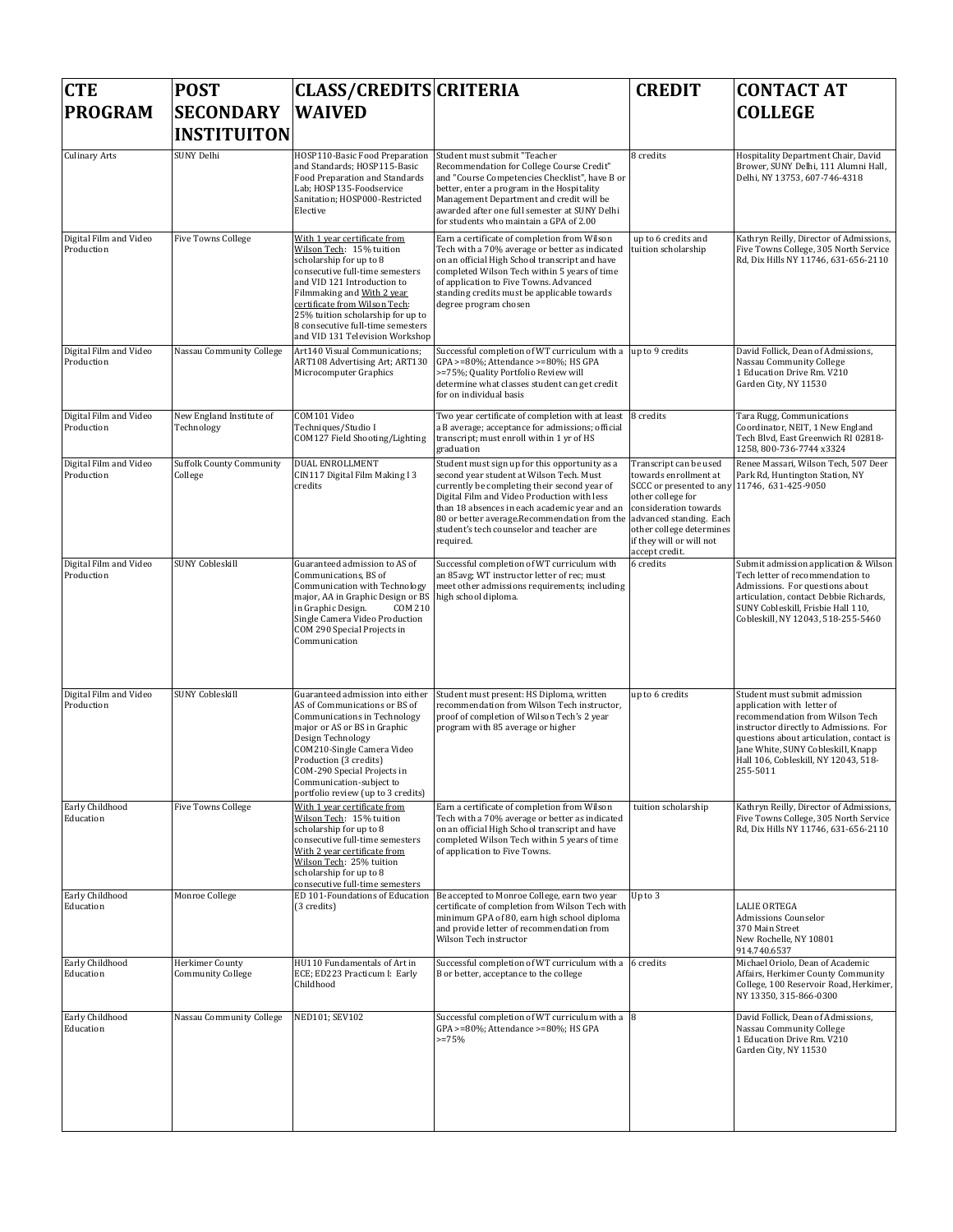| <b>CTE</b>                           | <b>POST</b>                                 | <b>CLASS/CREDITS CRITERIA</b>                                                                                                                                                                                                                                                                                                     |                                                                                                                                                                                                                                                                                                                                                                             | <b>CREDIT</b>                                                                                                                                                                                                           | <b>CONTACT AT</b>                                                                                                                                                                                                                                                              |
|--------------------------------------|---------------------------------------------|-----------------------------------------------------------------------------------------------------------------------------------------------------------------------------------------------------------------------------------------------------------------------------------------------------------------------------------|-----------------------------------------------------------------------------------------------------------------------------------------------------------------------------------------------------------------------------------------------------------------------------------------------------------------------------------------------------------------------------|-------------------------------------------------------------------------------------------------------------------------------------------------------------------------------------------------------------------------|--------------------------------------------------------------------------------------------------------------------------------------------------------------------------------------------------------------------------------------------------------------------------------|
| <b>PROGRAM</b>                       | <b>SECONDARY</b><br><b>INSTITUITON</b>      | <b>WAIVED</b>                                                                                                                                                                                                                                                                                                                     |                                                                                                                                                                                                                                                                                                                                                                             |                                                                                                                                                                                                                         | <b>COLLEGE</b>                                                                                                                                                                                                                                                                 |
| <b>Culinary Arts</b>                 | SUNY Delhi                                  | HOSP110-Basic Food Preparation<br>and Standards; HOSP115-Basic<br>Food Preparation and Standards<br>Lab: HOSP135-Foodservice<br>Sanitation; HOSP000-Restricted<br>Elective                                                                                                                                                        | Student must submit "Teacher<br>Recommendation for College Course Credit"<br>and "Course Competencies Checklist", have B or<br>better, enter a program in the Hospitality<br>Management Department and credit will be<br>awarded after one full semester at SUNY Delhi<br>for students who maintain a GPA of 2.00                                                           | 8 credits                                                                                                                                                                                                               | Hospitality Department Chair, David<br>Brower, SUNY Delhi, 111 Alumni Hall,<br>Delhi, NY 13753, 607-746-4318                                                                                                                                                                   |
| Digital Film and Video<br>Production | <b>Five Towns College</b>                   | With 1 year certificate from<br>Wilson Tech: 15% tuition<br>scholarship for up to 8<br>consecutive full-time semesters<br>and VID 121 Introduction to<br>Filmmaking and With 2 year<br>certificate from Wilson Tech:<br>25% tuition scholarship for up to<br>8 consecutive full-time semesters<br>and VID 131 Television Workshop | Earn a certificate of completion from Wilson<br>Tech with a 70% average or better as indicated<br>on an official High School transcript and have<br>completed Wilson Tech within 5 years of time<br>of application to Five Towns. Advanced<br>standing credits must be applicable towards<br>degree program chosen                                                          | up to 6 credits and<br>tuition scholarship                                                                                                                                                                              | Kathryn Reilly, Director of Admissions,<br>Five Towns College, 305 North Service<br>Rd, Dix Hills NY 11746, 631-656-2110                                                                                                                                                       |
| Digital Film and Video<br>Production | Nassau Community College                    | Art140 Visual Communications;<br>ART108 Advertising Art; ART130<br>Microcomputer Graphics                                                                                                                                                                                                                                         | Successful completion of WT curriculum with a up to 9 credits<br>GPA >=80%; Attendance >=80%; HS GPA<br>>=75%; Quality Portfolio Review will<br>determine what classes student can get credit<br>for on individual basis                                                                                                                                                    |                                                                                                                                                                                                                         | David Follick, Dean of Admissions,<br>Nassau Community College<br>1 Education Drive Rm. V210<br>Garden City, NY 11530                                                                                                                                                          |
| Digital Film and Video<br>Production | New England Institute of<br>Technology      | COM101 Video<br>Techniques/Studio I<br>COM127 Field Shooting/Lighting                                                                                                                                                                                                                                                             | Two year certificate of completion with at least<br>a B average; acceptance for admissions; official<br>transcript; must enroll within 1 yr of HS<br>graduation                                                                                                                                                                                                             | 8 credits                                                                                                                                                                                                               | Tara Rugg, Communications<br>Coordinator, NEIT, 1 New England<br>Tech Blvd, East Greenwich RI 02818-<br>1258, 800-736-7744 x3324                                                                                                                                               |
| Digital Film and Video<br>Production | <b>Suffolk County Community</b><br>College  | <b>DUAL ENROLLMENT</b><br>CIN117 Digital Film Making I3<br>credits                                                                                                                                                                                                                                                                | Student must sign up for this opportunity as a<br>second year student at Wilson Tech. Must<br>currently be completing their second year of<br>Digital Film and Video Production with less<br>than 18 absences in each academic year and an<br>80 or better average.Recommendation from the advanced standing. Each<br>student's tech counselor and teacher are<br>required. | Transcript can be used<br>towards enrollment at<br>SCCC or presented to any 11746, 631-425-9050<br>other college for<br>consideration towards<br>other college determines<br>if they will or will not<br>accept credit. | Renee Massari, Wilson Tech, 507 Deer<br>Park Rd, Huntington Station, NY                                                                                                                                                                                                        |
| Digital Film and Video<br>Production | <b>SUNY Cobleskill</b>                      | Guaranteed admission to AS of<br>Communications, BS of<br>Communication with Technology<br>major, AA in Graphic Design or BS<br>in Graphic Design.<br><b>COM 210</b><br>Single Camera Video Production<br>COM 290 Special Projects in<br>Communication                                                                            | Successful completion of WT curriculum with<br>an 85 avg; WT instructor letter of rec; must<br>meet other admissions requirements; including<br>high school diploma.                                                                                                                                                                                                        | 6 credits                                                                                                                                                                                                               | Submit admission application & Wilson<br>Tech letter of recommendation to<br>Admissions. For questions about<br>articulation, contact Debbie Richards,<br>SUNY Cobleskill, Frisbie Hall 110,<br>Cobleskill, NY 12043, 518-255-5460                                             |
| Digital Film and Video<br>Production | <b>SUNY Cobleskill</b>                      | Guaranteed admission into either<br>AS of Communications or BS of<br>Communications in Technology<br>major or AS or BS in Graphic<br>Design Technology<br>COM210-Single Camera Video<br>Production (3 credits)<br>COM-290 Special Projects in<br>Communication-subject to<br>portfolio review (up to 3 credits)                   | Student must present: HS Diploma, written<br>recommendation from Wilson Tech instructor,<br>proof of completion of Wilson Tech's 2 year<br>program with 85 average or higher                                                                                                                                                                                                | up to 6 credits                                                                                                                                                                                                         | Student must submit admission<br>application with letter of<br>recommendation from Wilson Tech<br>instructor directly to Admissions. For<br>questions about articulation, contact is<br>Jane White, SUNY Cobleskill, Knapp<br>Hall 106, Cobleskill, NY 12043, 518-<br>255-5011 |
| Early Childhood<br>Education         | <b>Five Towns College</b>                   | With 1 year certificate from<br>Wilson Tech: 15% tuition<br>scholarship for up to 8<br>consecutive full-time semesters<br>With 2 year certificate from<br>Wilson Tech: 25% tuition<br>scholarship for up to 8<br>consecutive full-time semesters                                                                                  | Earn a certificate of completion from Wilson<br>Tech with a 70% average or better as indicated<br>on an official High School transcript and have<br>completed Wilson Tech within 5 years of time<br>of application to Five Towns.                                                                                                                                           | tuition scholarship                                                                                                                                                                                                     | Kathryn Reilly, Director of Admissions,<br>Five Towns College, 305 North Service<br>Rd, Dix Hills NY 11746, 631-656-2110                                                                                                                                                       |
| Early Childhood<br>Education         | Monroe College                              | ED 101-Foundations of Education<br>(3 credits)                                                                                                                                                                                                                                                                                    | Be accepted to Monroe College, earn two year<br>certificate of completion from Wilson Tech with<br>minimum GPA of 80, earn high school diploma<br>and provide letter of recommendation from<br>Wilson Tech instructor                                                                                                                                                       | Up to 3                                                                                                                                                                                                                 | <b>LALIE ORTEGA</b><br>Admissions Counselor<br>370 Main Street<br>New Rochelle, NY 10801<br>914.740.6537                                                                                                                                                                       |
| Early Childhood<br>Education         | Herkimer County<br><b>Community College</b> | HU110 Fundamentals of Art in<br>ECE; ED223 Practicum I: Early<br>Childhood                                                                                                                                                                                                                                                        | Successful completion of WT curriculum with a 6 credits<br>B or better, acceptance to the college                                                                                                                                                                                                                                                                           |                                                                                                                                                                                                                         | Michael Oriolo, Dean of Academic<br>Affairs, Herkimer County Community<br>College, 100 Reservoir Road, Herkimer,<br>NY 13350, 315-866-0300                                                                                                                                     |
| Early Childhood<br>Education         | Nassau Community College                    | NED101; SEV102                                                                                                                                                                                                                                                                                                                    | Successful completion of WT curriculum with a 8<br>GPA >=80%; Attendance >=80%; HS GPA<br>$>=75%$                                                                                                                                                                                                                                                                           |                                                                                                                                                                                                                         | David Follick, Dean of Admissions,<br>Nassau Community College<br>1 Education Drive Rm. V210<br>Garden City, NY 11530                                                                                                                                                          |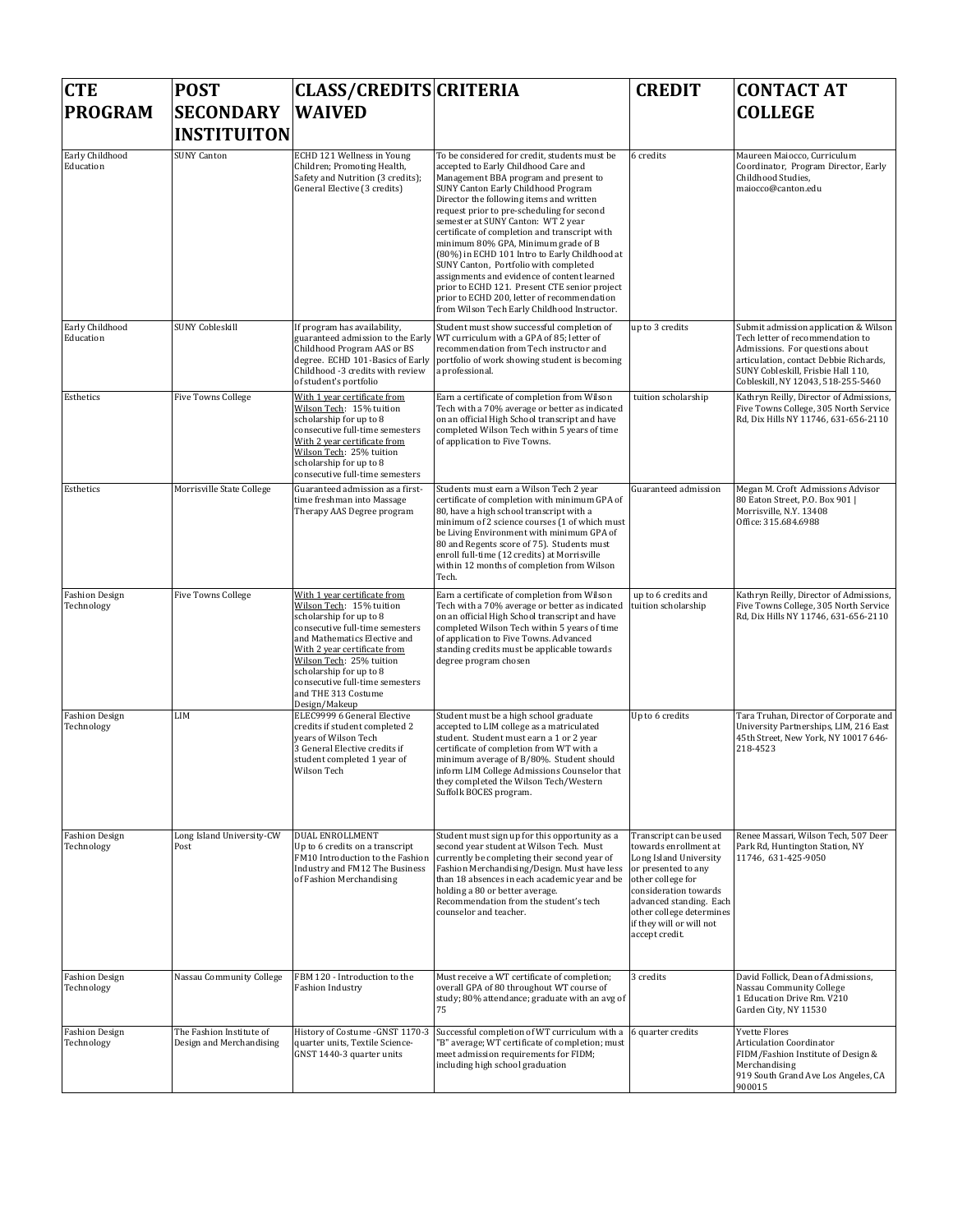| <b>CTE</b><br><b>PROGRAM</b>        | <b>POST</b><br><b>SECONDARY</b><br><b>INSTITUITON</b> | <b>CLASS/CREDITS CRITERIA</b><br><b>WAIVED</b>                                                                                                                                                                                                                                                                           |                                                                                                                                                                                                                                                                                                                                                                                                                                                                                                                                                                                                                                                                                               | <b>CREDIT</b>                                                                                                                                                                                                                                       | <b>CONTACT AT</b><br><b>COLLEGE</b>                                                                                                                                                                                                |
|-------------------------------------|-------------------------------------------------------|--------------------------------------------------------------------------------------------------------------------------------------------------------------------------------------------------------------------------------------------------------------------------------------------------------------------------|-----------------------------------------------------------------------------------------------------------------------------------------------------------------------------------------------------------------------------------------------------------------------------------------------------------------------------------------------------------------------------------------------------------------------------------------------------------------------------------------------------------------------------------------------------------------------------------------------------------------------------------------------------------------------------------------------|-----------------------------------------------------------------------------------------------------------------------------------------------------------------------------------------------------------------------------------------------------|------------------------------------------------------------------------------------------------------------------------------------------------------------------------------------------------------------------------------------|
| Early Childhood<br>Education        | <b>SUNY Canton</b>                                    | ECHD 121 Wellness in Young<br>Children; Promoting Health,<br>Safety and Nutrition (3 credits);<br>General Elective (3 credits)                                                                                                                                                                                           | To be considered for credit, students must be<br>accepted to Early Childhood Care and<br>Management BBA program and present to<br><b>SUNY Canton Early Childhood Program</b><br>Director the following items and written<br>request prior to pre-scheduling for second<br>semester at SUNY Canton: WT 2 year<br>certificate of completion and transcript with<br>minimum 80% GPA, Minimum grade of B<br>(80%) in ECHD 101 Intro to Early Childhood at<br>SUNY Canton, Portfolio with completed<br>assignments and evidence of content learned<br>prior to ECHD 121. Present CTE senior project<br>prior to ECHD 200, letter of recommendation<br>from Wilson Tech Early Childhood Instructor. | 6 credits                                                                                                                                                                                                                                           | Maureen Maiocco, Curriculum<br>Coordinator, Program Director, Early<br>Childhood Studies,<br>maiocco@canton.edu                                                                                                                    |
| Early Childhood<br>Education        | <b>SUNY Cobleskill</b>                                | If program has availability,<br>guaranteed admission to the Early<br>Childhood Program AAS or BS<br>degree. ECHD 101-Basics of Early<br>Childhood -3 credits with review<br>of student's portfolio                                                                                                                       | Student must show successful completion of<br>WT curriculum with a GPA of 85; letter of<br>recommendation from Tech instructor and<br>portfolio of work showing student is becoming<br>a professional.                                                                                                                                                                                                                                                                                                                                                                                                                                                                                        | up to 3 credits                                                                                                                                                                                                                                     | Submit admission application & Wilson<br>Tech letter of recommendation to<br>Admissions. For questions about<br>articulation, contact Debbie Richards,<br>SUNY Cobleskill, Frisbie Hall 110,<br>Cobleskill, NY 12043, 518-255-5460 |
| Esthetics                           | <b>Five Towns College</b>                             | With 1 year certificate from<br>Wilson Tech: 15% tuition<br>scholarship for up to 8<br>consecutive full-time semesters<br>With 2 year certificate from<br>Wilson Tech: 25% tuition<br>scholarship for up to 8<br>consecutive full-time semesters                                                                         | Earn a certificate of completion from Wilson<br>Tech with a 70% average or better as indicated<br>on an official High School transcript and have<br>completed Wilson Tech within 5 years of time<br>of application to Five Towns.                                                                                                                                                                                                                                                                                                                                                                                                                                                             | tuition scholarship                                                                                                                                                                                                                                 | Kathryn Reilly, Director of Admissions,<br>Five Towns College, 305 North Service<br>Rd, Dix Hills NY 11746, 631-656-2110                                                                                                           |
| Esthetics                           | Morrisville State College                             | Guaranteed admission as a first-<br>time freshman into Massage<br>Therapy AAS Degree program                                                                                                                                                                                                                             | Students must earn a Wilson Tech 2 year<br>certificate of completion with minimum GPA of<br>80, have a high school transcript with a<br>minimum of 2 science courses (1 of which must<br>be Living Environment with minimum GPA of<br>80 and Regents score of 75). Students must<br>enroll full-time (12 credits) at Morrisville<br>within 12 months of completion from Wilson<br>Tech.                                                                                                                                                                                                                                                                                                       | Guaranteed admission                                                                                                                                                                                                                                | Megan M. Croft Admissions Advisor<br>80 Eaton Street, P.O. Box 901  <br>Morrisville, N.Y. 13408<br>Office: 315.684.6988                                                                                                            |
| <b>Fashion Design</b><br>Technology | <b>Five Towns College</b>                             | With 1 year certificate from<br>Wilson Tech: 15% tuition<br>scholarship for up to 8<br>consecutive full-time semesters<br>and Mathematics Elective and<br>With 2 year certificate from<br>Wilson Tech: 25% tuition<br>scholarship for up to 8<br>consecutive full-time semesters<br>and THE 313 Costume<br>Design/Makeup | Earn a certificate of completion from Wilson<br>Tech with a 70% average or better as indicated<br>on an official High School transcript and have<br>completed Wilson Tech within 5 years of time<br>of application to Five Towns. Advanced<br>standing credits must be applicable towards<br>degree program chosen                                                                                                                                                                                                                                                                                                                                                                            | up to 6 credits and<br>tuition scholarship                                                                                                                                                                                                          | Kathryn Reilly, Director of Admissions,<br>Five Towns College, 305 North Service<br>Rd, Dix Hills NY 11746, 631-656-2110                                                                                                           |
| <b>Fashion Design</b><br>Technology | LIM                                                   | ELEC9999 6 General Elective<br>credits if student completed 2<br>vears of Wilson Tech<br>3 General Elective credits if<br>student completed 1 year of<br>Wilson Tech                                                                                                                                                     | Student must be a high school graduate<br>accepted to LIM college as a matriculated<br>student. Student must earn a 1 or 2 year<br>certificate of completion from WT with a<br>minimum average of B/80%. Student should<br>inform LIM College Admissions Counselor that<br>they completed the Wilson Tech/Western<br>Suffolk BOCES program.                                                                                                                                                                                                                                                                                                                                                   | Up to 6 credits                                                                                                                                                                                                                                     | Tara Truhan, Director of Corporate and<br>University Partnerships, LIM, 216 East<br>45th Street, New York, NY 10017 646-<br>218-4523                                                                                               |
| <b>Fashion Design</b><br>Technology | Long Island University-CW<br>Post                     | <b>DUAL ENROLLMENT</b><br>Up to 6 credits on a transcript<br>FM10 Introduction to the Fashion<br><b>Industry and FM12 The Business</b><br>of Fashion Merchandising                                                                                                                                                       | Student must sign up for this opportunity as a<br>second year student at Wilson Tech. Must<br>currently be completing their second year of<br>Fashion Merchandising/Design. Must have less<br>than 18 absences in each academic year and be<br>holding a 80 or better average.<br>Recommendation from the student's tech<br>counselor and teacher.                                                                                                                                                                                                                                                                                                                                            | Transcript can be used<br>towards enrollment at<br>Long Island University<br>or presented to any<br>other college for<br>consideration towards<br>advanced standing. Each<br>other college determines<br>if they will or will not<br>accept credit. | Renee Massari, Wilson Tech, 507 Deer<br>Park Rd, Huntington Station, NY<br>11746, 631-425-9050                                                                                                                                     |
| <b>Fashion Design</b><br>Technology | Nassau Community College                              | FBM 120 - Introduction to the<br><b>Fashion Industry</b>                                                                                                                                                                                                                                                                 | Must receive a WT certificate of completion;<br>overall GPA of 80 throughout WT course of<br>study; 80% attendance; graduate with an avg of<br>75                                                                                                                                                                                                                                                                                                                                                                                                                                                                                                                                             | 3 credits                                                                                                                                                                                                                                           | David Follick, Dean of Admissions,<br>Nassau Community College<br>1 Education Drive Rm. V210<br>Garden City, NY 11530                                                                                                              |
| <b>Fashion Design</b><br>Technology | The Fashion Institute of<br>Design and Merchandising  | History of Costume - GNST 1170-3<br>quarter units, Textile Science-<br>GNST 1440-3 quarter units                                                                                                                                                                                                                         | Successful completion of WT curriculum with a<br>"B" average; WT certificate of completion; must<br>meet admission requirements for FIDM;<br>including high school graduation                                                                                                                                                                                                                                                                                                                                                                                                                                                                                                                 | 6 quarter credits                                                                                                                                                                                                                                   | <b>Yvette Flores</b><br><b>Articulation Coordinator</b><br>FIDM/Fashion Institute of Design &<br>Merchandising<br>919 South Grand Ave Los Angeles, CA<br>900015                                                                    |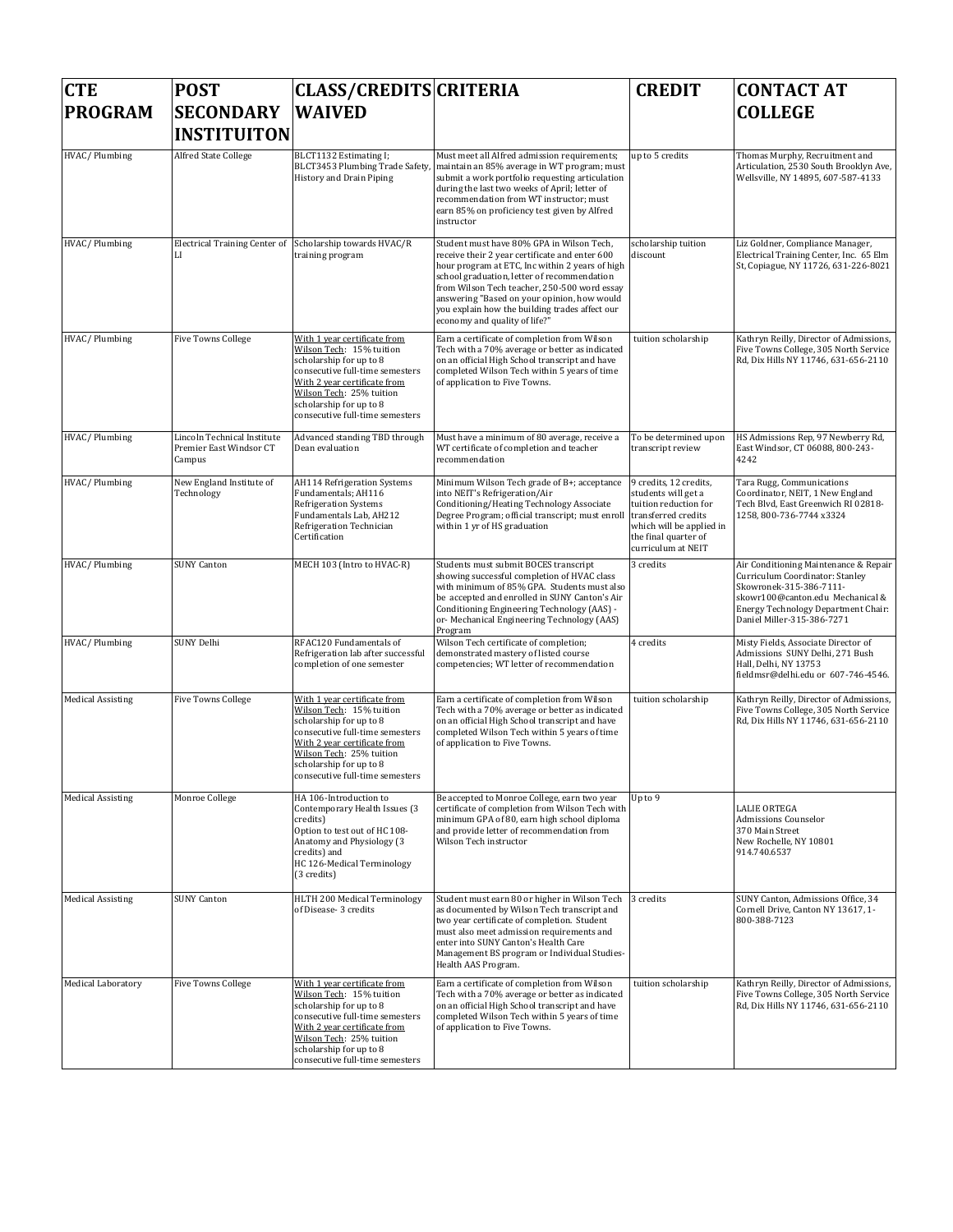| <b>CTE</b>               | <b>POST</b>                                                      | <b>CLASS/CREDITS CRITERIA</b>                                                                                                                                                                                                                    |                                                                                                                                                                                                                                                                                                                                                                                 | <b>CREDIT</b>                                                                                                                                    | <b>CONTACT AT</b>                                                                                                                                                                                                   |
|--------------------------|------------------------------------------------------------------|--------------------------------------------------------------------------------------------------------------------------------------------------------------------------------------------------------------------------------------------------|---------------------------------------------------------------------------------------------------------------------------------------------------------------------------------------------------------------------------------------------------------------------------------------------------------------------------------------------------------------------------------|--------------------------------------------------------------------------------------------------------------------------------------------------|---------------------------------------------------------------------------------------------------------------------------------------------------------------------------------------------------------------------|
| <b>PROGRAM</b>           | <b>SECONDARY</b>                                                 | <b>WAIVED</b>                                                                                                                                                                                                                                    |                                                                                                                                                                                                                                                                                                                                                                                 |                                                                                                                                                  | <b>COLLEGE</b>                                                                                                                                                                                                      |
|                          | <b>INSTITUITON</b>                                               |                                                                                                                                                                                                                                                  |                                                                                                                                                                                                                                                                                                                                                                                 |                                                                                                                                                  |                                                                                                                                                                                                                     |
| HVAC/Plumbing            | Alfred State College                                             | BLCT1132 Estimating I;<br>BLCT3453 Plumbing Trade Safety<br>History and Drain Piping                                                                                                                                                             | Must meet all Alfred admission requirements;<br>maintain an 85% average in WT program; must<br>submit a work portfolio requesting articulation<br>during the last two weeks of April; letter of<br>recommendation from WT instructor; must<br>earn 85% on proficiency test given by Alfred<br>instructor                                                                        | up to 5 credits                                                                                                                                  | Thomas Murphy, Recruitment and<br>Articulation, 2530 South Brooklyn Ave,<br>Wellsville, NY 14895, 607-587-4133                                                                                                      |
| HVAC/Plumbing            | <b>Electrical Training Center of</b><br>LI                       | Scholarship towards HVAC/R<br>training program                                                                                                                                                                                                   | Student must have 80% GPA in Wilson Tech,<br>receive their 2 year certificate and enter 600<br>hour program at ETC, Inc within 2 years of high<br>school graduation, letter of recommendation<br>from Wilson Tech teacher, 250-500 word essay<br>answering "Based on your opinion, how would<br>you explain how the building trades affect our<br>economy and quality of life?" | scholarship tuition<br>discount                                                                                                                  | Liz Goldner, Compliance Manager,<br>Electrical Training Center, Inc. 65 Elm<br>St, Copiague, NY 11726, 631-226-8021                                                                                                 |
| HVAC/Plumbing            | <b>Five Towns College</b>                                        | With 1 year certificate from<br>Wilson Tech: 15% tuition<br>scholarship for up to 8<br>consecutive full-time semesters<br>With 2 year certificate from<br>Wilson Tech: 25% tuition<br>scholarship for up to 8<br>consecutive full-time semesters | Earn a certificate of completion from Wilson<br>Tech with a 70% average or better as indicated<br>on an official High School transcript and have<br>completed Wilson Tech within 5 years of time<br>of application to Five Towns.                                                                                                                                               | tuition scholarship                                                                                                                              | Kathryn Reilly, Director of Admissions,<br>Five Towns College, 305 North Service<br>Rd, Dix Hills NY 11746, 631-656-2110                                                                                            |
| HVAC/Plumbing            | Lincoln Technical Institute<br>Premier East Windsor CT<br>Campus | Advanced standing TBD through<br>Dean evaluation                                                                                                                                                                                                 | Must have a minimum of 80 average, receive a<br>WT certificate of completion and teacher<br>recommendation                                                                                                                                                                                                                                                                      | To be determined upon<br>transcript review                                                                                                       | HS Admissions Rep, 97 Newberry Rd,<br>East Windsor, CT 06088, 800-243-<br>4242                                                                                                                                      |
| HVAC/Plumbing            | New England Institute of<br>Technology                           | AH114 Refrigeration Systems<br>Fundamentals; AH116<br><b>Refrigeration Systems</b><br>Fundamentals Lab, AH212<br>Refrigeration Technician<br>Certification                                                                                       | Minimum Wilson Tech grade of B+; acceptance<br>into NEIT's Refrigeration/Air<br>Conditioning/Heating Technology Associate<br>Degree Program; official transcript; must enroll transferred credits<br>within 1 yr of HS graduation                                                                                                                                               | 9 credits, 12 credits,<br>students will get a<br>tuition reduction for<br>which will be applied in<br>the final quarter of<br>curriculum at NEIT | Tara Rugg, Communications<br>Coordinator, NEIT, 1 New England<br>Tech Blvd, East Greenwich RI 02818-<br>1258, 800-736-7744 x3324                                                                                    |
| HVAC/Plumbing            | <b>SUNY Canton</b>                                               | MECH 103 (Intro to HVAC-R)                                                                                                                                                                                                                       | Students must submit BOCES transcript<br>showing successful completion of HVAC class<br>with minimum of 85% GPA. Students must also<br>be accepted and enrolled in SUNY Canton's Air<br>Conditioning Engineering Technology (AAS) -<br>or-Mechanical Engineering Technology (AAS)<br>Program                                                                                    | 3 credits                                                                                                                                        | Air Conditioning Maintenance & Repair<br>Curriculum Coordinator: Stanley<br>Skowronek-315-386-7111-<br>skowr100@canton.edu Mechanical &<br><b>Energy Technology Department Chair:</b><br>Daniel Miller-315-386-7271 |
| HVAC/Plumbing            | SUNY Delhi                                                       | RFAC120 Fundamentals of<br>Refrigeration lab after successful<br>completion of one semester                                                                                                                                                      | Wilson Tech certificate of completion;<br>demonstrated mastery of listed course<br>competencies; WT letter of recommendation                                                                                                                                                                                                                                                    | 4 credits                                                                                                                                        | Misty Fields, Associate Director of<br>Admissions SUNY Delhi, 271 Bush<br>Hall, Delhi, NY 13753<br>fieldmsr@delhi.edu or 607-746-4546.                                                                              |
| <b>Medical Assisting</b> | <b>Five Towns College</b>                                        | With 1 year certificate from<br>Wilson Tech: 15% tuition<br>scholarship for up to 8<br>consecutive full-time semesters<br>With 2 year certificate from<br>Wilson Tech: 25% tuition<br>scholarship for up to 8<br>consecutive full-time semesters | Earn a certificate of completion from Wilson<br>Tech with a 70% average or better as indicated<br>on an official High School transcript and have<br>completed Wilson Tech within 5 years of time<br>of application to Five Towns.                                                                                                                                               | tuition scholarship                                                                                                                              | Kathryn Reilly, Director of Admissions,<br>Five Towns College, 305 North Service<br>Rd, Dix Hills NY 11746, 631-656-2110                                                                                            |
| <b>Medical Assisting</b> | Monroe College                                                   | HA 106-Introduction to<br>Contemporary Health Issues (3<br>credits)<br>Option to test out of HC 108-<br>Anatomy and Physiology (3<br>credits) and<br>HC 126-Medical Terminology<br>(3 credits)                                                   | Be accepted to Monroe College, earn two year<br>certificate of completion from Wilson Tech with<br>minimum GPA of 80, earn high school diploma<br>and provide letter of recommendation from<br>Wilson Tech instructor                                                                                                                                                           | Up to 9                                                                                                                                          | <b>LALIE ORTEGA</b><br>Admissions Counselor<br>370 Main Street<br>New Rochelle, NY 10801<br>914.740.6537                                                                                                            |
| <b>Medical Assisting</b> | <b>SUNY Canton</b>                                               | HLTH 200 Medical Terminology<br>of Disease- 3 credits                                                                                                                                                                                            | Student must earn 80 or higher in Wilson Tech<br>as documented by Wilson Tech transcript and<br>two year certificate of completion. Student<br>must also meet admission requirements and<br>enter into SUNY Canton's Health Care<br>Management BS program or Individual Studies-<br>Health AAS Program.                                                                         | 3 credits                                                                                                                                        | SUNY Canton, Admissions Office, 34<br>Cornell Drive, Canton NY 13617, 1-<br>800-388-7123                                                                                                                            |
| Medical Laboratory       | <b>Five Towns College</b>                                        | With 1 year certificate from<br>Wilson Tech: 15% tuition<br>scholarship for up to 8<br>consecutive full-time semesters<br>With 2 year certificate from<br>Wilson Tech: 25% tuition<br>scholarship for up to 8<br>consecutive full-time semesters | Earn a certificate of completion from Wilson<br>Tech with a 70% average or better as indicated<br>on an official High School transcript and have<br>completed Wilson Tech within 5 years of time<br>of application to Five Towns.                                                                                                                                               | tuition scholarship                                                                                                                              | Kathryn Reilly, Director of Admissions,<br>Five Towns College, 305 North Service<br>Rd, Dix Hills NY 11746, 631-656-2110                                                                                            |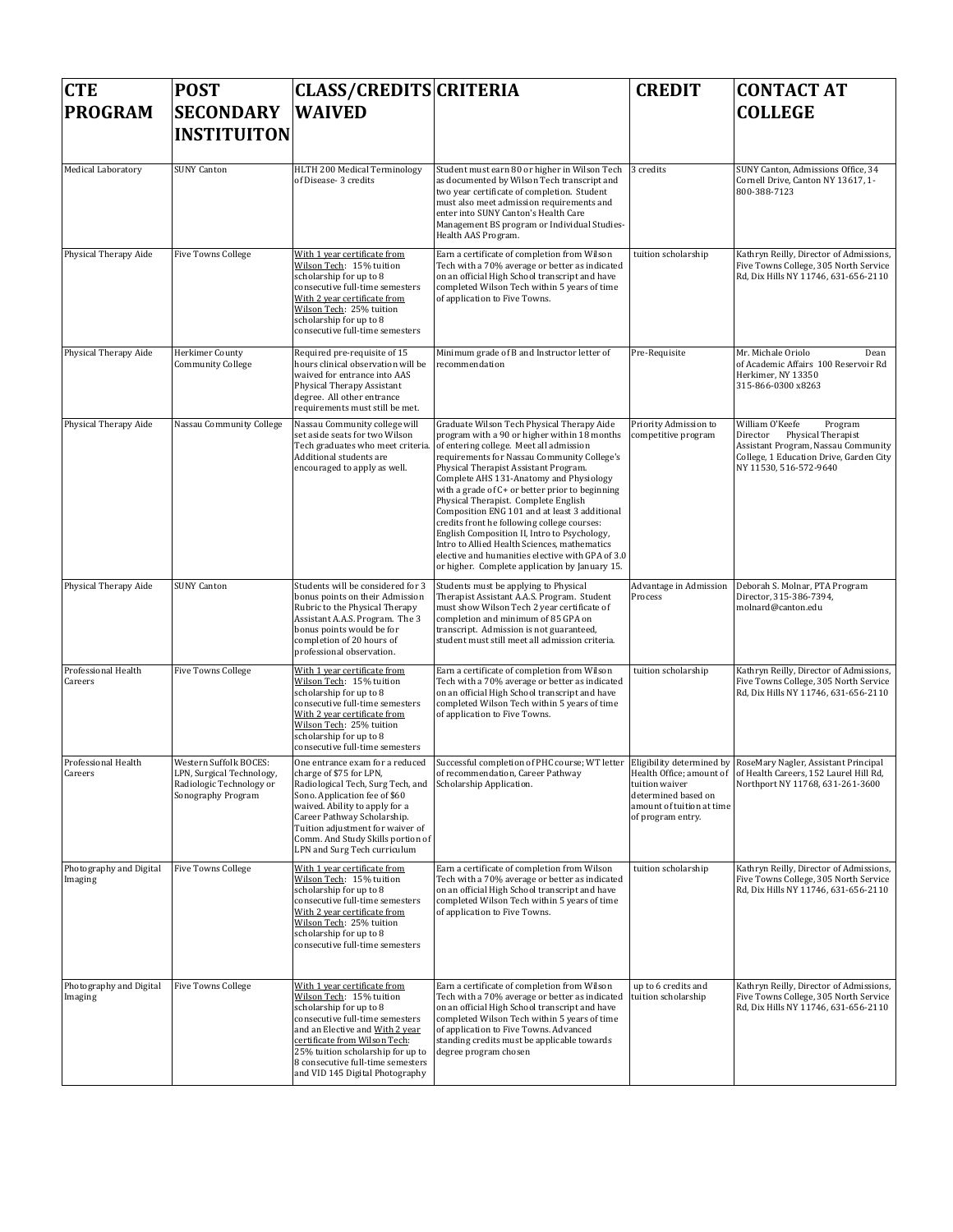| <b>CTE</b>                         | <b>POST</b>                                                                                           | <b>CLASS/CREDITS CRITERIA</b>                                                                                                                                                                                                                                                                              |                                                                                                                                                                                                                                                                                                                                                                                                                                                                                                                                                                                                                                                                           | <b>CREDIT</b>                                                                           | <b>CONTACT AT</b>                                                                                                                                                        |
|------------------------------------|-------------------------------------------------------------------------------------------------------|------------------------------------------------------------------------------------------------------------------------------------------------------------------------------------------------------------------------------------------------------------------------------------------------------------|---------------------------------------------------------------------------------------------------------------------------------------------------------------------------------------------------------------------------------------------------------------------------------------------------------------------------------------------------------------------------------------------------------------------------------------------------------------------------------------------------------------------------------------------------------------------------------------------------------------------------------------------------------------------------|-----------------------------------------------------------------------------------------|--------------------------------------------------------------------------------------------------------------------------------------------------------------------------|
| <b>PROGRAM</b>                     | <b>SECONDARY</b><br><b>INSTITUITON</b>                                                                | <b>WAIVED</b>                                                                                                                                                                                                                                                                                              |                                                                                                                                                                                                                                                                                                                                                                                                                                                                                                                                                                                                                                                                           |                                                                                         | <b>COLLEGE</b>                                                                                                                                                           |
| Medical Laboratory                 | <b>SUNY Canton</b>                                                                                    | HLTH 200 Medical Terminology<br>of Disease- 3 credits                                                                                                                                                                                                                                                      | Student must earn 80 or higher in Wilson Tech<br>as documented by Wilson Tech transcript and<br>two year certificate of completion. Student<br>must also meet admission requirements and<br>enter into SUNY Canton's Health Care<br>Management BS program or Individual Studies-<br>Health AAS Program.                                                                                                                                                                                                                                                                                                                                                                   | 3 credits                                                                               | SUNY Canton, Admissions Office, 34<br>Cornell Drive, Canton NY 13617, 1-<br>800-388-7123                                                                                 |
| Physical Therapy Aide              | <b>Five Towns College</b>                                                                             | With 1 year certificate from<br>Wilson Tech: 15% tuition<br>scholarship for up to 8<br>consecutive full-time semesters<br>With 2 year certificate from<br>Wilson Tech: 25% tuition<br>scholarship for up to 8<br>consecutive full-time semesters                                                           | Earn a certificate of completion from Wilson<br>Tech with a 70% average or better as indicated<br>on an official High School transcript and have<br>completed Wilson Tech within 5 years of time<br>of application to Five Towns.                                                                                                                                                                                                                                                                                                                                                                                                                                         | tuition scholarship                                                                     | Kathryn Reilly, Director of Admissions,<br>Five Towns College, 305 North Service<br>Rd, Dix Hills NY 11746, 631-656-2110                                                 |
| Physical Therapy Aide              | Herkimer County<br><b>Community College</b>                                                           | Required pre-requisite of 15<br>hours clinical observation will be<br>waived for entrance into AAS<br>Physical Therapy Assistant<br>degree. All other entrance<br>requirements must still be met.                                                                                                          | Minimum grade of B and Instructor letter of<br>recommendation                                                                                                                                                                                                                                                                                                                                                                                                                                                                                                                                                                                                             | Pre-Requisite                                                                           | Mr. Michale Oriolo<br>Dean<br>of Academic Affairs 100 Reservoir Rd<br>Herkimer, NY 13350<br>315-866-0300 x8263                                                           |
| Physical Therapy Aide              | Nassau Community College                                                                              | Nassau Community college will<br>set aside seats for two Wilson<br>Tech graduates who meet criteria.<br>Additional students are<br>encouraged to apply as well.                                                                                                                                            | Graduate Wilson Tech Physical Therapy Aide<br>program with a 90 or higher within 18 months<br>of entering college. Meet all admission<br>requirements for Nassau Community College's<br>Physical Therapist Assistant Program.<br>Complete AHS 131-Anatomy and Physiology<br>with a grade of C+ or better prior to beginning<br>Physical Therapist. Complete English<br>Composition ENG 101 and at least 3 additional<br>credits front he following college courses:<br>English Composition II, Intro to Psychology,<br>Intro to Allied Health Sciences, mathematics<br>elective and humanities elective with GPA of 3.0<br>or higher. Complete application by January 15. | Priority Admission to<br>competitive program                                            | William O'Keefe<br>Program<br>Director<br>Physical Therapist<br>Assistant Program, Nassau Community<br>College, 1 Education Drive, Garden City<br>NY 11530, 516-572-9640 |
| Physical Therapy Aide              | <b>SUNY Canton</b>                                                                                    | Students will be considered for 3<br>bonus points on their Admission<br>Rubric to the Physical Therapy<br>Assistant A.A.S. Program. The 3<br>bonus points would be for<br>completion of 20 hours of<br>professional observation.                                                                           | Students must be applying to Physical<br>Therapist Assistant A.A.S. Program. Student<br>must show Wilson Tech 2 year certificate of<br>completion and minimum of 85 GPA on<br>transcript. Admission is not guaranteed,<br>student must still meet all admission criteria.                                                                                                                                                                                                                                                                                                                                                                                                 | Advantage in Admission<br>Process                                                       | Deborah S. Molnar, PTA Program<br>Director, 315-386-7394,<br>molnard@canton.edu                                                                                          |
| Professional Health<br>Careers     | <b>Five Towns College</b>                                                                             | With 1 year certificate from<br>Wilson Tech: 15% tuition<br>scholarship for up to 8<br>consecutive full-time semesters<br>With 2 year certificate from<br>Wilson Tech: 25% tuition<br>scholarship for up to 8<br>consecutive full-time semesters                                                           | Earn a certificate of completion from Wilson<br>Tech with a 70% average or better as indicated<br>on an official High School transcript and have<br>completed Wilson Tech within 5 years of time<br>of application to Five Towns.                                                                                                                                                                                                                                                                                                                                                                                                                                         | tuition scholarship                                                                     | Kathryn Reilly, Director of Admissions,<br>Five Towns College, 305 North Service<br>Rd, Dix Hills NY 11746, 631-656-2110                                                 |
| Professional Health<br>Careers     | Western Suffolk BOCES:<br>LPN, Surgical Technology,<br>Radiologic Technology or<br>Sonography Program | One entrance exam for a reduced<br>charge of \$75 for LPN,<br>Radiological Tech, Surg Tech, and<br>Sono. Application fee of \$60<br>waived. Ability to apply for a<br>Career Pathway Scholarship.<br>Tuition adjustment for waiver of<br>Comm. And Study Skills portion of<br>LPN and Surg Tech curriculum | Successful completion of PHC course; WT letter Eligibility determined by RoseMary Nagler, Assistant Principal<br>of recommendation. Career Pathway<br>Scholarship Application.                                                                                                                                                                                                                                                                                                                                                                                                                                                                                            | tuition waiver<br>determined based on<br>amount of tuition at time<br>of program entry. | Health Office: amount of lof Health Careers, 152 Laurel Hill Rd.<br>Northport NY 11768, 631-261-3600                                                                     |
| Photography and Digital<br>Imaging | <b>Five Towns College</b>                                                                             | With 1 year certificate from<br>Wilson Tech: 15% tuition<br>scholarship for up to 8<br>consecutive full-time semesters<br>With 2 year certificate from<br>Wilson Tech: 25% tuition<br>scholarship for up to 8<br>consecutive full-time semesters                                                           | Earn a certificate of completion from Wilson<br>Tech with a 70% average or better as indicated<br>on an official High School transcript and have<br>completed Wilson Tech within 5 years of time<br>of application to Five Towns.                                                                                                                                                                                                                                                                                                                                                                                                                                         | tuition scholarship                                                                     | Kathryn Reilly, Director of Admissions,<br>Five Towns College, 305 North Service<br>Rd, Dix Hills NY 11746, 631-656-2110                                                 |
| Photography and Digital<br>Imaging | <b>Five Towns College</b>                                                                             | With 1 year certificate from<br>Wilson Tech: 15% tuition<br>scholarship for up to 8<br>consecutive full-time semesters<br>and an Elective and With 2 year<br>certificate from Wilson Tech:<br>25% tuition scholarship for up to<br>8 consecutive full-time semesters<br>and VID 145 Digital Photography    | Earn a certificate of completion from Wilson<br>Tech with a 70% average or better as indicated<br>on an official High School transcript and have<br>completed Wilson Tech within 5 years of time<br>of application to Five Towns. Advanced<br>standing credits must be applicable towards<br>degree program chosen                                                                                                                                                                                                                                                                                                                                                        | up to 6 credits and<br>tuition scholarship                                              | Kathryn Reilly, Director of Admissions,<br>Five Towns College, 305 North Service<br>Rd, Dix Hills NY 11746, 631-656-2110                                                 |